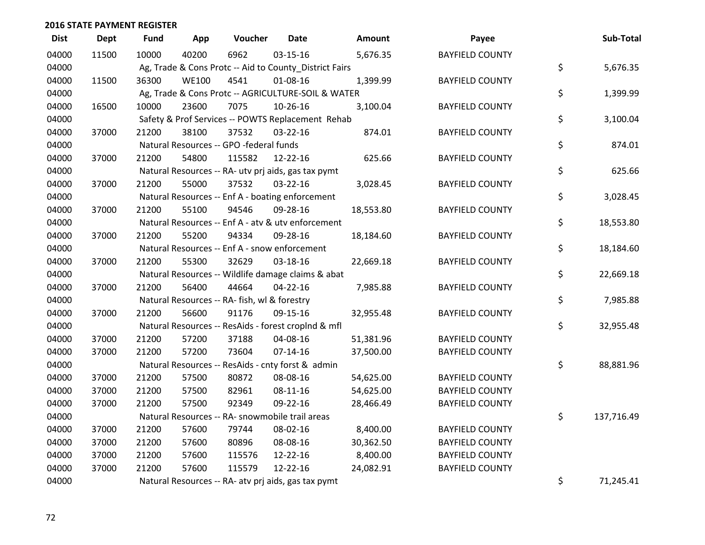| <b>Dist</b> | <b>Dept</b> | Fund  | App          | Voucher                                                | <b>Date</b>    | Amount    | Payee                  | Sub-Total        |
|-------------|-------------|-------|--------------|--------------------------------------------------------|----------------|-----------|------------------------|------------------|
| 04000       | 11500       | 10000 | 40200        | 6962                                                   | 03-15-16       | 5,676.35  | <b>BAYFIELD COUNTY</b> |                  |
| 04000       |             |       |              | Ag, Trade & Cons Protc -- Aid to County District Fairs |                |           |                        | \$<br>5,676.35   |
| 04000       | 11500       | 36300 | <b>WE100</b> | 4541                                                   | 01-08-16       | 1,399.99  | <b>BAYFIELD COUNTY</b> |                  |
| 04000       |             |       |              | Ag, Trade & Cons Protc -- AGRICULTURE-SOIL & WATER     |                |           |                        | \$<br>1,399.99   |
| 04000       | 16500       | 10000 | 23600        | 7075                                                   | 10-26-16       | 3,100.04  | <b>BAYFIELD COUNTY</b> |                  |
| 04000       |             |       |              | Safety & Prof Services -- POWTS Replacement Rehab      |                |           |                        | \$<br>3,100.04   |
| 04000       | 37000       | 21200 | 38100        | 37532                                                  | 03-22-16       | 874.01    | <b>BAYFIELD COUNTY</b> |                  |
| 04000       |             |       |              | Natural Resources -- GPO -federal funds                |                |           |                        | \$<br>874.01     |
| 04000       | 37000       | 21200 | 54800        | 115582                                                 | 12-22-16       | 625.66    | <b>BAYFIELD COUNTY</b> |                  |
| 04000       |             |       |              | Natural Resources -- RA- utv prj aids, gas tax pymt    |                |           |                        | \$<br>625.66     |
| 04000       | 37000       | 21200 | 55000        | 37532                                                  | 03-22-16       | 3,028.45  | <b>BAYFIELD COUNTY</b> |                  |
| 04000       |             |       |              | Natural Resources -- Enf A - boating enforcement       |                |           |                        | \$<br>3,028.45   |
| 04000       | 37000       | 21200 | 55100        | 94546                                                  | 09-28-16       | 18,553.80 | <b>BAYFIELD COUNTY</b> |                  |
| 04000       |             |       |              | Natural Resources -- Enf A - atv & utv enforcement     |                |           |                        | \$<br>18,553.80  |
| 04000       | 37000       | 21200 | 55200        | 94334                                                  | 09-28-16       | 18,184.60 | <b>BAYFIELD COUNTY</b> |                  |
| 04000       |             |       |              | Natural Resources -- Enf A - snow enforcement          |                |           |                        | \$<br>18,184.60  |
| 04000       | 37000       | 21200 | 55300        | 32629                                                  | 03-18-16       | 22,669.18 | <b>BAYFIELD COUNTY</b> |                  |
| 04000       |             |       |              | Natural Resources -- Wildlife damage claims & abat     |                |           |                        | \$<br>22,669.18  |
| 04000       | 37000       | 21200 | 56400        | 44664                                                  | $04 - 22 - 16$ | 7,985.88  | <b>BAYFIELD COUNTY</b> |                  |
| 04000       |             |       |              | Natural Resources -- RA- fish, wl & forestry           |                |           |                        | \$<br>7,985.88   |
| 04000       | 37000       | 21200 | 56600        | 91176                                                  | 09-15-16       | 32,955.48 | <b>BAYFIELD COUNTY</b> |                  |
| 04000       |             |       |              | Natural Resources -- ResAids - forest croplnd & mfl    |                |           |                        | \$<br>32,955.48  |
| 04000       | 37000       | 21200 | 57200        | 37188                                                  | 04-08-16       | 51,381.96 | <b>BAYFIELD COUNTY</b> |                  |
| 04000       | 37000       | 21200 | 57200        | 73604                                                  | $07 - 14 - 16$ | 37,500.00 | <b>BAYFIELD COUNTY</b> |                  |
| 04000       |             |       |              | Natural Resources -- ResAids - cnty forst & admin      |                |           |                        | \$<br>88,881.96  |
| 04000       | 37000       | 21200 | 57500        | 80872                                                  | 08-08-16       | 54,625.00 | <b>BAYFIELD COUNTY</b> |                  |
| 04000       | 37000       | 21200 | 57500        | 82961                                                  | 08-11-16       | 54,625.00 | <b>BAYFIELD COUNTY</b> |                  |
| 04000       | 37000       | 21200 | 57500        | 92349                                                  | 09-22-16       | 28,466.49 | <b>BAYFIELD COUNTY</b> |                  |
| 04000       |             |       |              | Natural Resources -- RA- snowmobile trail areas        |                |           |                        | \$<br>137,716.49 |
| 04000       | 37000       | 21200 | 57600        | 79744                                                  | 08-02-16       | 8,400.00  | <b>BAYFIELD COUNTY</b> |                  |
| 04000       | 37000       | 21200 | 57600        | 80896                                                  | 08-08-16       | 30,362.50 | <b>BAYFIELD COUNTY</b> |                  |
| 04000       | 37000       | 21200 | 57600        | 115576                                                 | 12-22-16       | 8,400.00  | <b>BAYFIELD COUNTY</b> |                  |
| 04000       | 37000       | 21200 | 57600        | 115579                                                 | 12-22-16       | 24,082.91 | <b>BAYFIELD COUNTY</b> |                  |
| 04000       |             |       |              | Natural Resources -- RA- atv prj aids, gas tax pymt    |                |           |                        | \$<br>71,245.41  |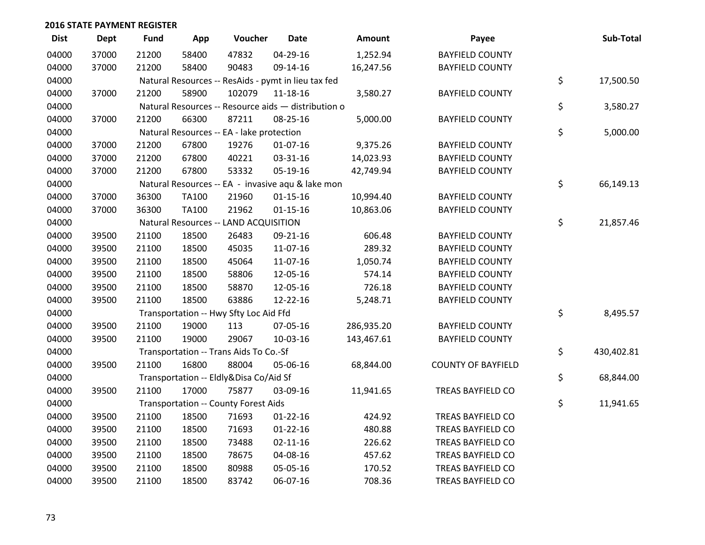| <b>Dist</b> | <b>Dept</b> | <b>Fund</b> | App          | Voucher                                             | <b>Date</b>    | Amount     | Payee                     | Sub-Total        |
|-------------|-------------|-------------|--------------|-----------------------------------------------------|----------------|------------|---------------------------|------------------|
| 04000       | 37000       | 21200       | 58400        | 47832                                               | 04-29-16       | 1,252.94   | <b>BAYFIELD COUNTY</b>    |                  |
| 04000       | 37000       | 21200       | 58400        | 90483                                               | 09-14-16       | 16,247.56  | <b>BAYFIELD COUNTY</b>    |                  |
| 04000       |             |             |              | Natural Resources -- ResAids - pymt in lieu tax fed |                |            |                           | \$<br>17,500.50  |
| 04000       | 37000       | 21200       | 58900        | 102079                                              | 11-18-16       | 3,580.27   | <b>BAYFIELD COUNTY</b>    |                  |
| 04000       |             |             |              | Natural Resources -- Resource aids - distribution o |                |            |                           | \$<br>3,580.27   |
| 04000       | 37000       | 21200       | 66300        | 87211                                               | 08-25-16       | 5,000.00   | <b>BAYFIELD COUNTY</b>    |                  |
| 04000       |             |             |              | Natural Resources -- EA - lake protection           |                |            |                           | \$<br>5,000.00   |
| 04000       | 37000       | 21200       | 67800        | 19276                                               | $01-07-16$     | 9,375.26   | <b>BAYFIELD COUNTY</b>    |                  |
| 04000       | 37000       | 21200       | 67800        | 40221                                               | 03-31-16       | 14,023.93  | <b>BAYFIELD COUNTY</b>    |                  |
| 04000       | 37000       | 21200       | 67800        | 53332                                               | 05-19-16       | 42,749.94  | <b>BAYFIELD COUNTY</b>    |                  |
| 04000       |             |             |              | Natural Resources -- EA - invasive aqu & lake mon   |                |            |                           | \$<br>66,149.13  |
| 04000       | 37000       | 36300       | <b>TA100</b> | 21960                                               | $01 - 15 - 16$ | 10,994.40  | <b>BAYFIELD COUNTY</b>    |                  |
| 04000       | 37000       | 36300       | <b>TA100</b> | 21962                                               | $01 - 15 - 16$ | 10,863.06  | <b>BAYFIELD COUNTY</b>    |                  |
| 04000       |             |             |              | Natural Resources -- LAND ACQUISITION               |                |            |                           | \$<br>21,857.46  |
| 04000       | 39500       | 21100       | 18500        | 26483                                               | 09-21-16       | 606.48     | <b>BAYFIELD COUNTY</b>    |                  |
| 04000       | 39500       | 21100       | 18500        | 45035                                               | 11-07-16       | 289.32     | <b>BAYFIELD COUNTY</b>    |                  |
| 04000       | 39500       | 21100       | 18500        | 45064                                               | 11-07-16       | 1,050.74   | <b>BAYFIELD COUNTY</b>    |                  |
| 04000       | 39500       | 21100       | 18500        | 58806                                               | 12-05-16       | 574.14     | <b>BAYFIELD COUNTY</b>    |                  |
| 04000       | 39500       | 21100       | 18500        | 58870                                               | 12-05-16       | 726.18     | <b>BAYFIELD COUNTY</b>    |                  |
| 04000       | 39500       | 21100       | 18500        | 63886                                               | 12-22-16       | 5,248.71   | <b>BAYFIELD COUNTY</b>    |                  |
| 04000       |             |             |              | Transportation -- Hwy Sfty Loc Aid Ffd              |                |            |                           | \$<br>8,495.57   |
| 04000       | 39500       | 21100       | 19000        | 113                                                 | 07-05-16       | 286,935.20 | <b>BAYFIELD COUNTY</b>    |                  |
| 04000       | 39500       | 21100       | 19000        | 29067                                               | 10-03-16       | 143,467.61 | <b>BAYFIELD COUNTY</b>    |                  |
| 04000       |             |             |              | Transportation -- Trans Aids To Co.-Sf              |                |            |                           | \$<br>430,402.81 |
| 04000       | 39500       | 21100       | 16800        | 88004                                               | 05-06-16       | 68,844.00  | <b>COUNTY OF BAYFIELD</b> |                  |
| 04000       |             |             |              | Transportation -- Eldly&Disa Co/Aid Sf              |                |            |                           | \$<br>68,844.00  |
| 04000       | 39500       | 21100       | 17000        | 75877                                               | 03-09-16       | 11,941.65  | <b>TREAS BAYFIELD CO</b>  |                  |
| 04000       |             |             |              | Transportation -- County Forest Aids                |                |            |                           | \$<br>11,941.65  |
| 04000       | 39500       | 21100       | 18500        | 71693                                               | $01 - 22 - 16$ | 424.92     | TREAS BAYFIELD CO         |                  |
| 04000       | 39500       | 21100       | 18500        | 71693                                               | $01 - 22 - 16$ | 480.88     | TREAS BAYFIELD CO         |                  |
| 04000       | 39500       | 21100       | 18500        | 73488                                               | $02 - 11 - 16$ | 226.62     | TREAS BAYFIELD CO         |                  |
| 04000       | 39500       | 21100       | 18500        | 78675                                               | 04-08-16       | 457.62     | TREAS BAYFIELD CO         |                  |
| 04000       | 39500       | 21100       | 18500        | 80988                                               | 05-05-16       | 170.52     | TREAS BAYFIELD CO         |                  |
| 04000       | 39500       | 21100       | 18500        | 83742                                               | 06-07-16       | 708.36     | <b>TREAS BAYFIELD CO</b>  |                  |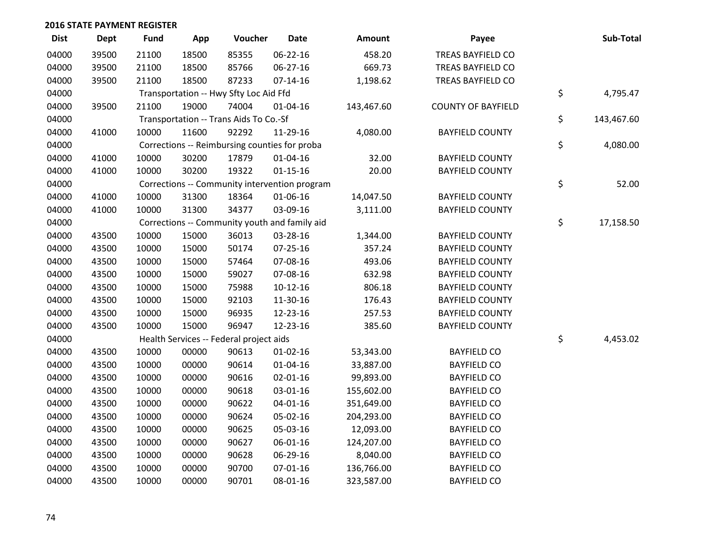| <b>Dist</b> | <b>Dept</b> | <b>Fund</b> | App   | Voucher                                 | <b>Date</b>                                   | <b>Amount</b> | Payee                     | Sub-Total        |
|-------------|-------------|-------------|-------|-----------------------------------------|-----------------------------------------------|---------------|---------------------------|------------------|
| 04000       | 39500       | 21100       | 18500 | 85355                                   | 06-22-16                                      | 458.20        | <b>TREAS BAYFIELD CO</b>  |                  |
| 04000       | 39500       | 21100       | 18500 | 85766                                   | 06-27-16                                      | 669.73        | TREAS BAYFIELD CO         |                  |
| 04000       | 39500       | 21100       | 18500 | 87233                                   | $07 - 14 - 16$                                | 1,198.62      | TREAS BAYFIELD CO         |                  |
| 04000       |             |             |       | Transportation -- Hwy Sfty Loc Aid Ffd  |                                               |               |                           | \$<br>4,795.47   |
| 04000       | 39500       | 21100       | 19000 | 74004                                   | 01-04-16                                      | 143,467.60    | <b>COUNTY OF BAYFIELD</b> |                  |
| 04000       |             |             |       | Transportation -- Trans Aids To Co.-Sf  |                                               |               |                           | \$<br>143,467.60 |
| 04000       | 41000       | 10000       | 11600 | 92292                                   | 11-29-16                                      | 4,080.00      | <b>BAYFIELD COUNTY</b>    |                  |
| 04000       |             |             |       |                                         | Corrections -- Reimbursing counties for proba |               |                           | \$<br>4,080.00   |
| 04000       | 41000       | 10000       | 30200 | 17879                                   | $01 - 04 - 16$                                | 32.00         | <b>BAYFIELD COUNTY</b>    |                  |
| 04000       | 41000       | 10000       | 30200 | 19322                                   | $01 - 15 - 16$                                | 20.00         | <b>BAYFIELD COUNTY</b>    |                  |
| 04000       |             |             |       |                                         | Corrections -- Community intervention program |               |                           | \$<br>52.00      |
| 04000       | 41000       | 10000       | 31300 | 18364                                   | 01-06-16                                      | 14,047.50     | <b>BAYFIELD COUNTY</b>    |                  |
| 04000       | 41000       | 10000       | 31300 | 34377                                   | 03-09-16                                      | 3,111.00      | <b>BAYFIELD COUNTY</b>    |                  |
| 04000       |             |             |       |                                         | Corrections -- Community youth and family aid |               |                           | \$<br>17,158.50  |
| 04000       | 43500       | 10000       | 15000 | 36013                                   | 03-28-16                                      | 1,344.00      | <b>BAYFIELD COUNTY</b>    |                  |
| 04000       | 43500       | 10000       | 15000 | 50174                                   | 07-25-16                                      | 357.24        | <b>BAYFIELD COUNTY</b>    |                  |
| 04000       | 43500       | 10000       | 15000 | 57464                                   | 07-08-16                                      | 493.06        | <b>BAYFIELD COUNTY</b>    |                  |
| 04000       | 43500       | 10000       | 15000 | 59027                                   | 07-08-16                                      | 632.98        | <b>BAYFIELD COUNTY</b>    |                  |
| 04000       | 43500       | 10000       | 15000 | 75988                                   | $10-12-16$                                    | 806.18        | <b>BAYFIELD COUNTY</b>    |                  |
| 04000       | 43500       | 10000       | 15000 | 92103                                   | 11-30-16                                      | 176.43        | <b>BAYFIELD COUNTY</b>    |                  |
| 04000       | 43500       | 10000       | 15000 | 96935                                   | 12-23-16                                      | 257.53        | <b>BAYFIELD COUNTY</b>    |                  |
| 04000       | 43500       | 10000       | 15000 | 96947                                   | 12-23-16                                      | 385.60        | <b>BAYFIELD COUNTY</b>    |                  |
| 04000       |             |             |       | Health Services -- Federal project aids |                                               |               |                           | \$<br>4,453.02   |
| 04000       | 43500       | 10000       | 00000 | 90613                                   | $01 - 02 - 16$                                | 53,343.00     | <b>BAYFIELD CO</b>        |                  |
| 04000       | 43500       | 10000       | 00000 | 90614                                   | $01 - 04 - 16$                                | 33,887.00     | <b>BAYFIELD CO</b>        |                  |
| 04000       | 43500       | 10000       | 00000 | 90616                                   | $02 - 01 - 16$                                | 99,893.00     | <b>BAYFIELD CO</b>        |                  |
| 04000       | 43500       | 10000       | 00000 | 90618                                   | 03-01-16                                      | 155,602.00    | <b>BAYFIELD CO</b>        |                  |
| 04000       | 43500       | 10000       | 00000 | 90622                                   | $04 - 01 - 16$                                | 351,649.00    | <b>BAYFIELD CO</b>        |                  |
| 04000       | 43500       | 10000       | 00000 | 90624                                   | 05-02-16                                      | 204,293.00    | <b>BAYFIELD CO</b>        |                  |
| 04000       | 43500       | 10000       | 00000 | 90625                                   | 05-03-16                                      | 12,093.00     | <b>BAYFIELD CO</b>        |                  |
| 04000       | 43500       | 10000       | 00000 | 90627                                   | 06-01-16                                      | 124,207.00    | <b>BAYFIELD CO</b>        |                  |
| 04000       | 43500       | 10000       | 00000 | 90628                                   | 06-29-16                                      | 8,040.00      | <b>BAYFIELD CO</b>        |                  |
| 04000       | 43500       | 10000       | 00000 | 90700                                   | $07 - 01 - 16$                                | 136,766.00    | <b>BAYFIELD CO</b>        |                  |
| 04000       | 43500       | 10000       | 00000 | 90701                                   | 08-01-16                                      | 323,587.00    | <b>BAYFIELD CO</b>        |                  |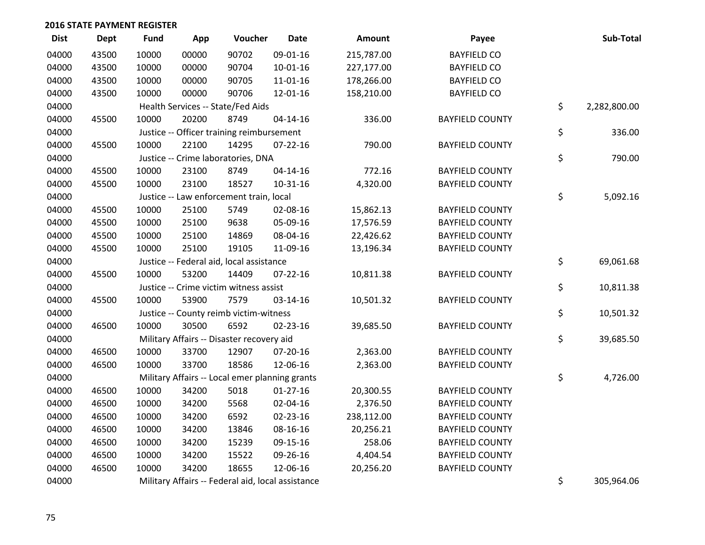| <b>Dist</b> | <b>Dept</b> | <b>Fund</b> | App   | Voucher                                           | <b>Date</b>    | Amount     | Payee                  | Sub-Total          |
|-------------|-------------|-------------|-------|---------------------------------------------------|----------------|------------|------------------------|--------------------|
| 04000       | 43500       | 10000       | 00000 | 90702                                             | 09-01-16       | 215,787.00 | <b>BAYFIELD CO</b>     |                    |
| 04000       | 43500       | 10000       | 00000 | 90704                                             | $10-01-16$     | 227,177.00 | <b>BAYFIELD CO</b>     |                    |
| 04000       | 43500       | 10000       | 00000 | 90705                                             | 11-01-16       | 178,266.00 | <b>BAYFIELD CO</b>     |                    |
| 04000       | 43500       | 10000       | 00000 | 90706                                             | 12-01-16       | 158,210.00 | <b>BAYFIELD CO</b>     |                    |
| 04000       |             |             |       | Health Services -- State/Fed Aids                 |                |            |                        | \$<br>2,282,800.00 |
| 04000       | 45500       | 10000       | 20200 | 8749                                              | $04 - 14 - 16$ | 336.00     | <b>BAYFIELD COUNTY</b> |                    |
| 04000       |             |             |       | Justice -- Officer training reimbursement         |                |            |                        | \$<br>336.00       |
| 04000       | 45500       | 10000       | 22100 | 14295                                             | $07 - 22 - 16$ | 790.00     | <b>BAYFIELD COUNTY</b> |                    |
| 04000       |             |             |       | Justice -- Crime laboratories, DNA                |                |            |                        | \$<br>790.00       |
| 04000       | 45500       | 10000       | 23100 | 8749                                              | $04 - 14 - 16$ | 772.16     | <b>BAYFIELD COUNTY</b> |                    |
| 04000       | 45500       | 10000       | 23100 | 18527                                             | $10-31-16$     | 4,320.00   | <b>BAYFIELD COUNTY</b> |                    |
| 04000       |             |             |       | Justice -- Law enforcement train, local           |                |            |                        | \$<br>5,092.16     |
| 04000       | 45500       | 10000       | 25100 | 5749                                              | 02-08-16       | 15,862.13  | <b>BAYFIELD COUNTY</b> |                    |
| 04000       | 45500       | 10000       | 25100 | 9638                                              | 05-09-16       | 17,576.59  | <b>BAYFIELD COUNTY</b> |                    |
| 04000       | 45500       | 10000       | 25100 | 14869                                             | 08-04-16       | 22,426.62  | <b>BAYFIELD COUNTY</b> |                    |
| 04000       | 45500       | 10000       | 25100 | 19105                                             | 11-09-16       | 13,196.34  | <b>BAYFIELD COUNTY</b> |                    |
| 04000       |             |             |       | Justice -- Federal aid, local assistance          |                |            |                        | \$<br>69,061.68    |
| 04000       | 45500       | 10000       | 53200 | 14409                                             | $07 - 22 - 16$ | 10,811.38  | <b>BAYFIELD COUNTY</b> |                    |
| 04000       |             |             |       | Justice -- Crime victim witness assist            |                |            |                        | \$<br>10,811.38    |
| 04000       | 45500       | 10000       | 53900 | 7579                                              | 03-14-16       | 10,501.32  | <b>BAYFIELD COUNTY</b> |                    |
| 04000       |             |             |       | Justice -- County reimb victim-witness            |                |            |                        | \$<br>10,501.32    |
| 04000       | 46500       | 10000       | 30500 | 6592                                              | 02-23-16       | 39,685.50  | <b>BAYFIELD COUNTY</b> |                    |
| 04000       |             |             |       | Military Affairs -- Disaster recovery aid         |                |            |                        | \$<br>39,685.50    |
| 04000       | 46500       | 10000       | 33700 | 12907                                             | 07-20-16       | 2,363.00   | <b>BAYFIELD COUNTY</b> |                    |
| 04000       | 46500       | 10000       | 33700 | 18586                                             | 12-06-16       | 2,363.00   | <b>BAYFIELD COUNTY</b> |                    |
| 04000       |             |             |       | Military Affairs -- Local emer planning grants    |                |            |                        | \$<br>4,726.00     |
| 04000       | 46500       | 10000       | 34200 | 5018                                              | $01-27-16$     | 20,300.55  | <b>BAYFIELD COUNTY</b> |                    |
| 04000       | 46500       | 10000       | 34200 | 5568                                              | 02-04-16       | 2,376.50   | <b>BAYFIELD COUNTY</b> |                    |
| 04000       | 46500       | 10000       | 34200 | 6592                                              | 02-23-16       | 238,112.00 | <b>BAYFIELD COUNTY</b> |                    |
| 04000       | 46500       | 10000       | 34200 | 13846                                             | 08-16-16       | 20,256.21  | <b>BAYFIELD COUNTY</b> |                    |
| 04000       | 46500       | 10000       | 34200 | 15239                                             | 09-15-16       | 258.06     | <b>BAYFIELD COUNTY</b> |                    |
| 04000       | 46500       | 10000       | 34200 | 15522                                             | 09-26-16       | 4,404.54   | <b>BAYFIELD COUNTY</b> |                    |
| 04000       | 46500       | 10000       | 34200 | 18655                                             | 12-06-16       | 20,256.20  | <b>BAYFIELD COUNTY</b> |                    |
| 04000       |             |             |       | Military Affairs -- Federal aid, local assistance |                |            |                        | \$<br>305,964.06   |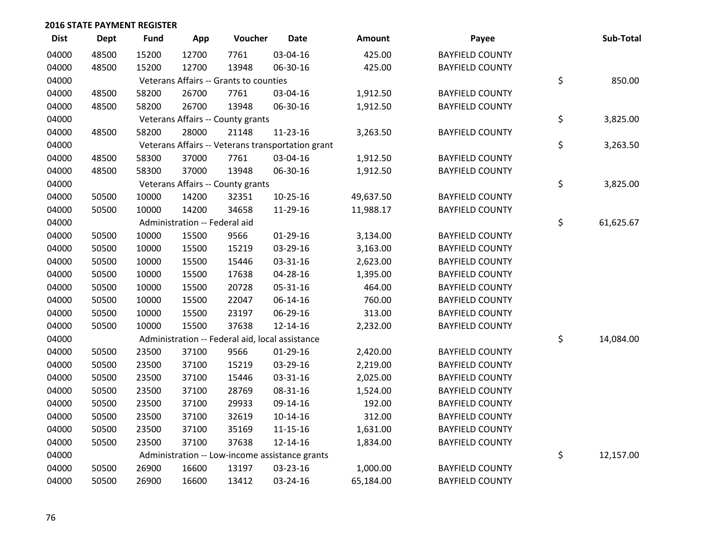| <b>Dist</b> | Dept  | <b>Fund</b> | App                           | Voucher                                | <b>Date</b>                                       | Amount    | Payee                  | Sub-Total       |
|-------------|-------|-------------|-------------------------------|----------------------------------------|---------------------------------------------------|-----------|------------------------|-----------------|
| 04000       | 48500 | 15200       | 12700                         | 7761                                   | 03-04-16                                          | 425.00    | <b>BAYFIELD COUNTY</b> |                 |
| 04000       | 48500 | 15200       | 12700                         | 13948                                  | 06-30-16                                          | 425.00    | <b>BAYFIELD COUNTY</b> |                 |
| 04000       |       |             |                               | Veterans Affairs -- Grants to counties |                                                   |           |                        | \$<br>850.00    |
| 04000       | 48500 | 58200       | 26700                         | 7761                                   | 03-04-16                                          | 1,912.50  | <b>BAYFIELD COUNTY</b> |                 |
| 04000       | 48500 | 58200       | 26700                         | 13948                                  | 06-30-16                                          | 1,912.50  | <b>BAYFIELD COUNTY</b> |                 |
| 04000       |       |             |                               | Veterans Affairs -- County grants      |                                                   |           |                        | \$<br>3,825.00  |
| 04000       | 48500 | 58200       | 28000                         | 21148                                  | 11-23-16                                          | 3,263.50  | <b>BAYFIELD COUNTY</b> |                 |
| 04000       |       |             |                               |                                        | Veterans Affairs -- Veterans transportation grant |           |                        | \$<br>3,263.50  |
| 04000       | 48500 | 58300       | 37000                         | 7761                                   | 03-04-16                                          | 1,912.50  | <b>BAYFIELD COUNTY</b> |                 |
| 04000       | 48500 | 58300       | 37000                         | 13948                                  | 06-30-16                                          | 1,912.50  | <b>BAYFIELD COUNTY</b> |                 |
| 04000       |       |             |                               | Veterans Affairs -- County grants      |                                                   |           |                        | \$<br>3,825.00  |
| 04000       | 50500 | 10000       | 14200                         | 32351                                  | $10-25-16$                                        | 49,637.50 | <b>BAYFIELD COUNTY</b> |                 |
| 04000       | 50500 | 10000       | 14200                         | 34658                                  | 11-29-16                                          | 11,988.17 | <b>BAYFIELD COUNTY</b> |                 |
| 04000       |       |             | Administration -- Federal aid |                                        |                                                   |           |                        | \$<br>61,625.67 |
| 04000       | 50500 | 10000       | 15500                         | 9566                                   | $01-29-16$                                        | 3,134.00  | <b>BAYFIELD COUNTY</b> |                 |
| 04000       | 50500 | 10000       | 15500                         | 15219                                  | 03-29-16                                          | 3,163.00  | <b>BAYFIELD COUNTY</b> |                 |
| 04000       | 50500 | 10000       | 15500                         | 15446                                  | 03-31-16                                          | 2,623.00  | <b>BAYFIELD COUNTY</b> |                 |
| 04000       | 50500 | 10000       | 15500                         | 17638                                  | 04-28-16                                          | 1,395.00  | <b>BAYFIELD COUNTY</b> |                 |
| 04000       | 50500 | 10000       | 15500                         | 20728                                  | 05-31-16                                          | 464.00    | <b>BAYFIELD COUNTY</b> |                 |
| 04000       | 50500 | 10000       | 15500                         | 22047                                  | 06-14-16                                          | 760.00    | <b>BAYFIELD COUNTY</b> |                 |
| 04000       | 50500 | 10000       | 15500                         | 23197                                  | 06-29-16                                          | 313.00    | <b>BAYFIELD COUNTY</b> |                 |
| 04000       | 50500 | 10000       | 15500                         | 37638                                  | 12-14-16                                          | 2,232.00  | <b>BAYFIELD COUNTY</b> |                 |
| 04000       |       |             |                               |                                        | Administration -- Federal aid, local assistance   |           |                        | \$<br>14,084.00 |
| 04000       | 50500 | 23500       | 37100                         | 9566                                   | $01-29-16$                                        | 2,420.00  | <b>BAYFIELD COUNTY</b> |                 |
| 04000       | 50500 | 23500       | 37100                         | 15219                                  | 03-29-16                                          | 2,219.00  | <b>BAYFIELD COUNTY</b> |                 |
| 04000       | 50500 | 23500       | 37100                         | 15446                                  | 03-31-16                                          | 2,025.00  | <b>BAYFIELD COUNTY</b> |                 |
| 04000       | 50500 | 23500       | 37100                         | 28769                                  | 08-31-16                                          | 1,524.00  | <b>BAYFIELD COUNTY</b> |                 |
| 04000       | 50500 | 23500       | 37100                         | 29933                                  | 09-14-16                                          | 192.00    | <b>BAYFIELD COUNTY</b> |                 |
| 04000       | 50500 | 23500       | 37100                         | 32619                                  | $10-14-16$                                        | 312.00    | <b>BAYFIELD COUNTY</b> |                 |
| 04000       | 50500 | 23500       | 37100                         | 35169                                  | $11 - 15 - 16$                                    | 1,631.00  | <b>BAYFIELD COUNTY</b> |                 |
| 04000       | 50500 | 23500       | 37100                         | 37638                                  | 12-14-16                                          | 1,834.00  | <b>BAYFIELD COUNTY</b> |                 |
| 04000       |       |             |                               |                                        | Administration -- Low-income assistance grants    |           |                        | \$<br>12,157.00 |
| 04000       | 50500 | 26900       | 16600                         | 13197                                  | 03-23-16                                          | 1,000.00  | <b>BAYFIELD COUNTY</b> |                 |
| 04000       | 50500 | 26900       | 16600                         | 13412                                  | 03-24-16                                          | 65,184.00 | <b>BAYFIELD COUNTY</b> |                 |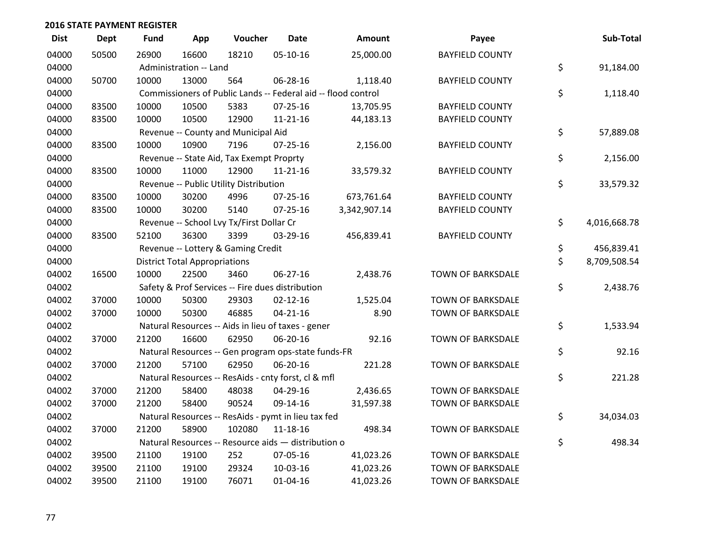| <b>Dist</b> | <b>Dept</b> | <b>Fund</b> | App                                  | Voucher                                  | <b>Date</b>                                         | Amount                                                        | Payee                    | Sub-Total          |
|-------------|-------------|-------------|--------------------------------------|------------------------------------------|-----------------------------------------------------|---------------------------------------------------------------|--------------------------|--------------------|
| 04000       | 50500       | 26900       | 16600                                | 18210                                    | 05-10-16                                            | 25,000.00                                                     | <b>BAYFIELD COUNTY</b>   |                    |
| 04000       |             |             | Administration -- Land               |                                          |                                                     |                                                               |                          | \$<br>91,184.00    |
| 04000       | 50700       | 10000       | 13000                                | 564                                      | 06-28-16                                            | 1,118.40                                                      | <b>BAYFIELD COUNTY</b>   |                    |
| 04000       |             |             |                                      |                                          |                                                     | Commissioners of Public Lands -- Federal aid -- flood control |                          | \$<br>1,118.40     |
| 04000       | 83500       | 10000       | 10500                                | 5383                                     | $07 - 25 - 16$                                      | 13,705.95                                                     | <b>BAYFIELD COUNTY</b>   |                    |
| 04000       | 83500       | 10000       | 10500                                | 12900                                    | 11-21-16                                            | 44,183.13                                                     | <b>BAYFIELD COUNTY</b>   |                    |
| 04000       |             |             |                                      | Revenue -- County and Municipal Aid      |                                                     |                                                               |                          | \$<br>57,889.08    |
| 04000       | 83500       | 10000       | 10900                                | 7196                                     | $07 - 25 - 16$                                      | 2,156.00                                                      | <b>BAYFIELD COUNTY</b>   |                    |
| 04000       |             |             |                                      | Revenue -- State Aid, Tax Exempt Proprty |                                                     |                                                               |                          | \$<br>2,156.00     |
| 04000       | 83500       | 10000       | 11000                                | 12900                                    | $11 - 21 - 16$                                      | 33,579.32                                                     | <b>BAYFIELD COUNTY</b>   |                    |
| 04000       |             |             |                                      | Revenue -- Public Utility Distribution   |                                                     |                                                               |                          | \$<br>33,579.32    |
| 04000       | 83500       | 10000       | 30200                                | 4996                                     | $07 - 25 - 16$                                      | 673,761.64                                                    | <b>BAYFIELD COUNTY</b>   |                    |
| 04000       | 83500       | 10000       | 30200                                | 5140                                     | $07 - 25 - 16$                                      | 3,342,907.14                                                  | <b>BAYFIELD COUNTY</b>   |                    |
| 04000       |             |             |                                      | Revenue -- School Lvy Tx/First Dollar Cr |                                                     |                                                               |                          | \$<br>4,016,668.78 |
| 04000       | 83500       | 52100       | 36300                                | 3399                                     | 03-29-16                                            | 456,839.41                                                    | <b>BAYFIELD COUNTY</b>   |                    |
| 04000       |             |             |                                      | Revenue -- Lottery & Gaming Credit       |                                                     |                                                               |                          | \$<br>456,839.41   |
| 04000       |             |             | <b>District Total Appropriations</b> |                                          |                                                     |                                                               |                          | \$<br>8,709,508.54 |
| 04002       | 16500       | 10000       | 22500                                | 3460                                     | 06-27-16                                            | 2,438.76                                                      | <b>TOWN OF BARKSDALE</b> |                    |
| 04002       |             |             |                                      |                                          | Safety & Prof Services -- Fire dues distribution    |                                                               |                          | \$<br>2,438.76     |
| 04002       | 37000       | 10000       | 50300                                | 29303                                    | $02 - 12 - 16$                                      | 1,525.04                                                      | <b>TOWN OF BARKSDALE</b> |                    |
| 04002       | 37000       | 10000       | 50300                                | 46885                                    | $04 - 21 - 16$                                      | 8.90                                                          | <b>TOWN OF BARKSDALE</b> |                    |
| 04002       |             |             |                                      |                                          | Natural Resources -- Aids in lieu of taxes - gener  |                                                               |                          | \$<br>1,533.94     |
| 04002       | 37000       | 21200       | 16600                                | 62950                                    | 06-20-16                                            | 92.16                                                         | TOWN OF BARKSDALE        |                    |
| 04002       |             |             |                                      |                                          | Natural Resources -- Gen program ops-state funds-FR |                                                               |                          | \$<br>92.16        |
| 04002       | 37000       | 21200       | 57100                                | 62950                                    | 06-20-16                                            | 221.28                                                        | <b>TOWN OF BARKSDALE</b> |                    |
| 04002       |             |             |                                      |                                          | Natural Resources -- ResAids - cnty forst, cl & mfl |                                                               |                          | \$<br>221.28       |
| 04002       | 37000       | 21200       | 58400                                | 48038                                    | 04-29-16                                            | 2,436.65                                                      | TOWN OF BARKSDALE        |                    |
| 04002       | 37000       | 21200       | 58400                                | 90524                                    | 09-14-16                                            | 31,597.38                                                     | <b>TOWN OF BARKSDALE</b> |                    |
| 04002       |             |             |                                      |                                          | Natural Resources -- ResAids - pymt in lieu tax fed |                                                               |                          | \$<br>34,034.03    |
| 04002       | 37000       | 21200       | 58900                                | 102080                                   | 11-18-16                                            | 498.34                                                        | <b>TOWN OF BARKSDALE</b> |                    |
| 04002       |             |             |                                      |                                          | Natural Resources -- Resource aids - distribution o |                                                               |                          | \$<br>498.34       |
| 04002       | 39500       | 21100       | 19100                                | 252                                      | 07-05-16                                            | 41,023.26                                                     | <b>TOWN OF BARKSDALE</b> |                    |
| 04002       | 39500       | 21100       | 19100                                | 29324                                    | 10-03-16                                            | 41,023.26                                                     | <b>TOWN OF BARKSDALE</b> |                    |
| 04002       | 39500       | 21100       | 19100                                | 76071                                    | $01 - 04 - 16$                                      | 41,023.26                                                     | <b>TOWN OF BARKSDALE</b> |                    |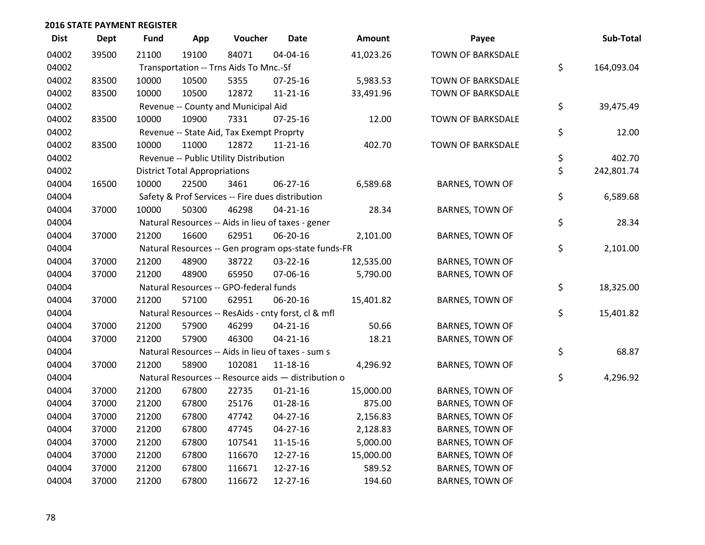| <b>Dist</b> | <b>Dept</b> | <b>Fund</b> | App                                  | Voucher                                             | <b>Date</b>    | Amount    | Payee                    | Sub-Total        |
|-------------|-------------|-------------|--------------------------------------|-----------------------------------------------------|----------------|-----------|--------------------------|------------------|
| 04002       | 39500       | 21100       | 19100                                | 84071                                               | 04-04-16       | 41,023.26 | <b>TOWN OF BARKSDALE</b> |                  |
| 04002       |             |             |                                      | Transportation -- Trns Aids To Mnc.-Sf              |                |           |                          | \$<br>164,093.04 |
| 04002       | 83500       | 10000       | 10500                                | 5355                                                | $07 - 25 - 16$ | 5,983.53  | <b>TOWN OF BARKSDALE</b> |                  |
| 04002       | 83500       | 10000       | 10500                                | 12872                                               | 11-21-16       | 33,491.96 | TOWN OF BARKSDALE        |                  |
| 04002       |             |             |                                      | Revenue -- County and Municipal Aid                 |                |           |                          | \$<br>39,475.49  |
| 04002       | 83500       | 10000       | 10900                                | 7331                                                | $07 - 25 - 16$ | 12.00     | <b>TOWN OF BARKSDALE</b> |                  |
| 04002       |             |             |                                      | Revenue -- State Aid, Tax Exempt Proprty            |                |           |                          | \$<br>12.00      |
| 04002       | 83500       | 10000       | 11000                                | 12872                                               | $11 - 21 - 16$ | 402.70    | TOWN OF BARKSDALE        |                  |
| 04002       |             |             |                                      | Revenue -- Public Utility Distribution              |                |           |                          | \$<br>402.70     |
| 04002       |             |             | <b>District Total Appropriations</b> |                                                     |                |           |                          | \$<br>242,801.74 |
| 04004       | 16500       | 10000       | 22500                                | 3461                                                | 06-27-16       | 6,589.68  | BARNES, TOWN OF          |                  |
| 04004       |             |             |                                      | Safety & Prof Services -- Fire dues distribution    |                |           |                          | \$<br>6,589.68   |
| 04004       | 37000       | 10000       | 50300                                | 46298                                               | $04 - 21 - 16$ | 28.34     | <b>BARNES, TOWN OF</b>   |                  |
| 04004       |             |             |                                      | Natural Resources -- Aids in lieu of taxes - gener  |                |           |                          | \$<br>28.34      |
| 04004       | 37000       | 21200       | 16600                                | 62951                                               | 06-20-16       | 2,101.00  | BARNES, TOWN OF          |                  |
| 04004       |             |             |                                      | Natural Resources -- Gen program ops-state funds-FR |                |           |                          | \$<br>2,101.00   |
| 04004       | 37000       | 21200       | 48900                                | 38722                                               | 03-22-16       | 12,535.00 | <b>BARNES, TOWN OF</b>   |                  |
| 04004       | 37000       | 21200       | 48900                                | 65950                                               | 07-06-16       | 5,790.00  | <b>BARNES, TOWN OF</b>   |                  |
| 04004       |             |             |                                      | Natural Resources -- GPO-federal funds              |                |           |                          | \$<br>18,325.00  |
| 04004       | 37000       | 21200       | 57100                                | 62951                                               | 06-20-16       | 15,401.82 | <b>BARNES, TOWN OF</b>   |                  |
| 04004       |             |             |                                      | Natural Resources -- ResAids - cnty forst, cl & mfl |                |           |                          | \$<br>15,401.82  |
| 04004       | 37000       | 21200       | 57900                                | 46299                                               | $04 - 21 - 16$ | 50.66     | <b>BARNES, TOWN OF</b>   |                  |
| 04004       | 37000       | 21200       | 57900                                | 46300                                               | $04 - 21 - 16$ | 18.21     | <b>BARNES, TOWN OF</b>   |                  |
| 04004       |             |             |                                      | Natural Resources -- Aids in lieu of taxes - sum s  |                |           |                          | \$<br>68.87      |
| 04004       | 37000       | 21200       | 58900                                | 102081                                              | 11-18-16       | 4,296.92  | BARNES, TOWN OF          |                  |
| 04004       |             |             |                                      | Natural Resources -- Resource aids - distribution o |                |           |                          | \$<br>4,296.92   |
| 04004       | 37000       | 21200       | 67800                                | 22735                                               | $01 - 21 - 16$ | 15,000.00 | <b>BARNES, TOWN OF</b>   |                  |
| 04004       | 37000       | 21200       | 67800                                | 25176                                               | 01-28-16       | 875.00    | BARNES, TOWN OF          |                  |
| 04004       | 37000       | 21200       | 67800                                | 47742                                               | $04 - 27 - 16$ | 2,156.83  | BARNES, TOWN OF          |                  |
| 04004       | 37000       | 21200       | 67800                                | 47745                                               | $04 - 27 - 16$ | 2,128.83  | <b>BARNES, TOWN OF</b>   |                  |
| 04004       | 37000       | 21200       | 67800                                | 107541                                              | 11-15-16       | 5,000.00  | <b>BARNES, TOWN OF</b>   |                  |
| 04004       | 37000       | 21200       | 67800                                | 116670                                              | 12-27-16       | 15,000.00 | <b>BARNES, TOWN OF</b>   |                  |
| 04004       | 37000       | 21200       | 67800                                | 116671                                              | 12-27-16       | 589.52    | <b>BARNES, TOWN OF</b>   |                  |
| 04004       | 37000       | 21200       | 67800                                | 116672                                              | 12-27-16       | 194.60    | <b>BARNES, TOWN OF</b>   |                  |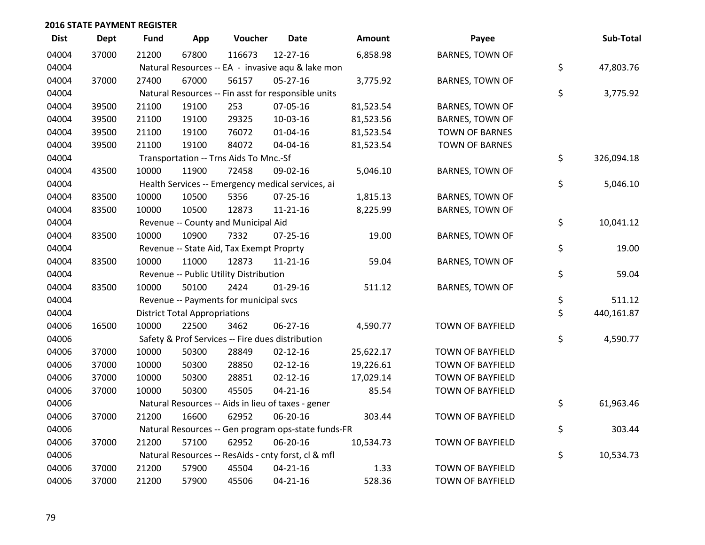| <b>Dist</b> | <b>Dept</b> | <b>Fund</b> | App                                  | Voucher                                             | Date           | <b>Amount</b> | Payee                   | Sub-Total        |
|-------------|-------------|-------------|--------------------------------------|-----------------------------------------------------|----------------|---------------|-------------------------|------------------|
| 04004       | 37000       | 21200       | 67800                                | 116673                                              | 12-27-16       | 6,858.98      | <b>BARNES, TOWN OF</b>  |                  |
| 04004       |             |             |                                      | Natural Resources -- EA - invasive aqu & lake mon   |                |               |                         | \$<br>47,803.76  |
| 04004       | 37000       | 27400       | 67000                                | 56157                                               | $05-27-16$     | 3,775.92      | BARNES, TOWN OF         |                  |
| 04004       |             |             |                                      | Natural Resources -- Fin asst for responsible units |                |               |                         | \$<br>3,775.92   |
| 04004       | 39500       | 21100       | 19100                                | 253                                                 | 07-05-16       | 81,523.54     | <b>BARNES, TOWN OF</b>  |                  |
| 04004       | 39500       | 21100       | 19100                                | 29325                                               | 10-03-16       | 81,523.56     | BARNES, TOWN OF         |                  |
| 04004       | 39500       | 21100       | 19100                                | 76072                                               | $01 - 04 - 16$ | 81,523.54     | <b>TOWN OF BARNES</b>   |                  |
| 04004       | 39500       | 21100       | 19100                                | 84072                                               | 04-04-16       | 81,523.54     | <b>TOWN OF BARNES</b>   |                  |
| 04004       |             |             |                                      | Transportation -- Trns Aids To Mnc.-Sf              |                |               |                         | \$<br>326,094.18 |
| 04004       | 43500       | 10000       | 11900                                | 72458                                               | 09-02-16       | 5,046.10      | BARNES, TOWN OF         |                  |
| 04004       |             |             |                                      | Health Services -- Emergency medical services, ai   |                |               |                         | \$<br>5,046.10   |
| 04004       | 83500       | 10000       | 10500                                | 5356                                                | $07 - 25 - 16$ | 1,815.13      | <b>BARNES, TOWN OF</b>  |                  |
| 04004       | 83500       | 10000       | 10500                                | 12873                                               | $11 - 21 - 16$ | 8,225.99      | BARNES, TOWN OF         |                  |
| 04004       |             |             |                                      | Revenue -- County and Municipal Aid                 |                |               |                         | \$<br>10,041.12  |
| 04004       | 83500       | 10000       | 10900                                | 7332                                                | 07-25-16       | 19.00         | BARNES, TOWN OF         |                  |
| 04004       |             |             |                                      | Revenue -- State Aid, Tax Exempt Proprty            |                |               |                         | \$<br>19.00      |
| 04004       | 83500       | 10000       | 11000                                | 12873                                               | $11 - 21 - 16$ | 59.04         | <b>BARNES, TOWN OF</b>  |                  |
| 04004       |             |             |                                      | Revenue -- Public Utility Distribution              |                |               |                         | \$<br>59.04      |
| 04004       | 83500       | 10000       | 50100                                | 2424                                                | $01-29-16$     | 511.12        | BARNES, TOWN OF         |                  |
| 04004       |             |             |                                      | Revenue -- Payments for municipal svcs              |                |               |                         | \$<br>511.12     |
| 04004       |             |             | <b>District Total Appropriations</b> |                                                     |                |               |                         | \$<br>440,161.87 |
| 04006       | 16500       | 10000       | 22500                                | 3462                                                | 06-27-16       | 4,590.77      | TOWN OF BAYFIELD        |                  |
| 04006       |             |             |                                      | Safety & Prof Services -- Fire dues distribution    |                |               |                         | \$<br>4,590.77   |
| 04006       | 37000       | 10000       | 50300                                | 28849                                               | $02 - 12 - 16$ | 25,622.17     | TOWN OF BAYFIELD        |                  |
| 04006       | 37000       | 10000       | 50300                                | 28850                                               | $02 - 12 - 16$ | 19,226.61     | TOWN OF BAYFIELD        |                  |
| 04006       | 37000       | 10000       | 50300                                | 28851                                               | $02 - 12 - 16$ | 17,029.14     | TOWN OF BAYFIELD        |                  |
| 04006       | 37000       | 10000       | 50300                                | 45505                                               | $04 - 21 - 16$ | 85.54         | TOWN OF BAYFIELD        |                  |
| 04006       |             |             |                                      | Natural Resources -- Aids in lieu of taxes - gener  |                |               |                         | \$<br>61,963.46  |
| 04006       | 37000       | 21200       | 16600                                | 62952                                               | 06-20-16       | 303.44        | TOWN OF BAYFIELD        |                  |
| 04006       |             |             |                                      | Natural Resources -- Gen program ops-state funds-FR |                |               |                         | \$<br>303.44     |
| 04006       | 37000       | 21200       | 57100                                | 62952                                               | 06-20-16       | 10,534.73     | TOWN OF BAYFIELD        |                  |
| 04006       |             |             |                                      | Natural Resources -- ResAids - cnty forst, cl & mfl |                |               |                         | \$<br>10,534.73  |
| 04006       | 37000       | 21200       | 57900                                | 45504                                               | $04 - 21 - 16$ | 1.33          | <b>TOWN OF BAYFIELD</b> |                  |
| 04006       | 37000       | 21200       | 57900                                | 45506                                               | $04 - 21 - 16$ | 528.36        | TOWN OF BAYFIELD        |                  |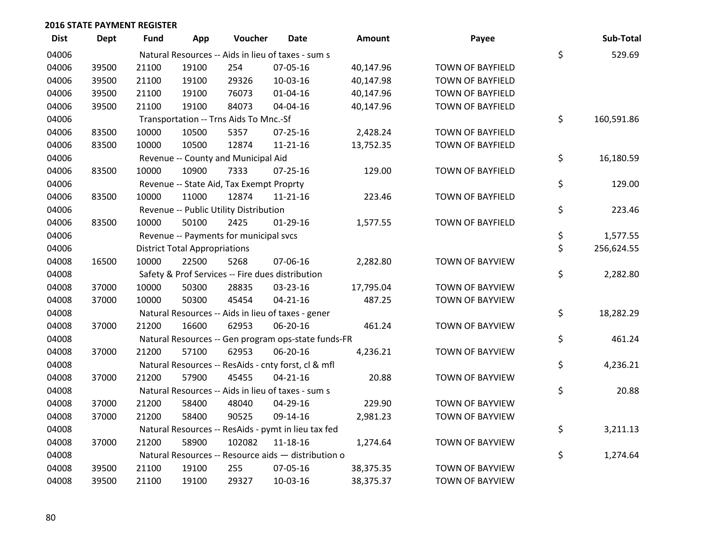| <b>Dist</b> | Dept  | <b>Fund</b> | App                                  | Voucher                                  | Date                                                | <b>Amount</b> | Payee                   | Sub-Total        |
|-------------|-------|-------------|--------------------------------------|------------------------------------------|-----------------------------------------------------|---------------|-------------------------|------------------|
| 04006       |       |             |                                      |                                          | Natural Resources -- Aids in lieu of taxes - sum s  |               |                         | \$<br>529.69     |
| 04006       | 39500 | 21100       | 19100                                | 254                                      | 07-05-16                                            | 40,147.96     | <b>TOWN OF BAYFIELD</b> |                  |
| 04006       | 39500 | 21100       | 19100                                | 29326                                    | 10-03-16                                            | 40,147.98     | <b>TOWN OF BAYFIELD</b> |                  |
| 04006       | 39500 | 21100       | 19100                                | 76073                                    | $01 - 04 - 16$                                      | 40,147.96     | <b>TOWN OF BAYFIELD</b> |                  |
| 04006       | 39500 | 21100       | 19100                                | 84073                                    | 04-04-16                                            | 40,147.96     | TOWN OF BAYFIELD        |                  |
| 04006       |       |             |                                      | Transportation -- Trns Aids To Mnc.-Sf   |                                                     |               |                         | \$<br>160,591.86 |
| 04006       | 83500 | 10000       | 10500                                | 5357                                     | $07 - 25 - 16$                                      | 2,428.24      | <b>TOWN OF BAYFIELD</b> |                  |
| 04006       | 83500 | 10000       | 10500                                | 12874                                    | $11 - 21 - 16$                                      | 13,752.35     | <b>TOWN OF BAYFIELD</b> |                  |
| 04006       |       |             |                                      | Revenue -- County and Municipal Aid      |                                                     |               |                         | \$<br>16,180.59  |
| 04006       | 83500 | 10000       | 10900                                | 7333                                     | $07 - 25 - 16$                                      | 129.00        | TOWN OF BAYFIELD        |                  |
| 04006       |       |             |                                      | Revenue -- State Aid, Tax Exempt Proprty |                                                     |               |                         | \$<br>129.00     |
| 04006       | 83500 | 10000       | 11000                                | 12874                                    | $11 - 21 - 16$                                      | 223.46        | <b>TOWN OF BAYFIELD</b> |                  |
| 04006       |       |             |                                      | Revenue -- Public Utility Distribution   |                                                     |               |                         | \$<br>223.46     |
| 04006       | 83500 | 10000       | 50100                                | 2425                                     | $01-29-16$                                          | 1,577.55      | TOWN OF BAYFIELD        |                  |
| 04006       |       |             |                                      | Revenue -- Payments for municipal svcs   |                                                     |               |                         | \$<br>1,577.55   |
| 04006       |       |             | <b>District Total Appropriations</b> |                                          |                                                     |               |                         | \$<br>256,624.55 |
| 04008       | 16500 | 10000       | 22500                                | 5268                                     | 07-06-16                                            | 2,282.80      | TOWN OF BAYVIEW         |                  |
| 04008       |       |             |                                      |                                          | Safety & Prof Services -- Fire dues distribution    |               |                         | \$<br>2,282.80   |
| 04008       | 37000 | 10000       | 50300                                | 28835                                    | 03-23-16                                            | 17,795.04     | <b>TOWN OF BAYVIEW</b>  |                  |
| 04008       | 37000 | 10000       | 50300                                | 45454                                    | $04 - 21 - 16$                                      | 487.25        | TOWN OF BAYVIEW         |                  |
| 04008       |       |             |                                      |                                          | Natural Resources -- Aids in lieu of taxes - gener  |               |                         | \$<br>18,282.29  |
| 04008       | 37000 | 21200       | 16600                                | 62953                                    | 06-20-16                                            | 461.24        | TOWN OF BAYVIEW         |                  |
| 04008       |       |             |                                      |                                          | Natural Resources -- Gen program ops-state funds-FR |               |                         | \$<br>461.24     |
| 04008       | 37000 | 21200       | 57100                                | 62953                                    | 06-20-16                                            | 4,236.21      | TOWN OF BAYVIEW         |                  |
| 04008       |       |             |                                      |                                          | Natural Resources -- ResAids - cnty forst, cl & mfl |               |                         | \$<br>4,236.21   |
| 04008       | 37000 | 21200       | 57900                                | 45455                                    | $04 - 21 - 16$                                      | 20.88         | TOWN OF BAYVIEW         |                  |
| 04008       |       |             |                                      |                                          | Natural Resources -- Aids in lieu of taxes - sum s  |               |                         | \$<br>20.88      |
| 04008       | 37000 | 21200       | 58400                                | 48040                                    | 04-29-16                                            | 229.90        | TOWN OF BAYVIEW         |                  |
| 04008       | 37000 | 21200       | 58400                                | 90525                                    | 09-14-16                                            | 2,981.23      | TOWN OF BAYVIEW         |                  |
| 04008       |       |             |                                      |                                          | Natural Resources -- ResAids - pymt in lieu tax fed |               |                         | \$<br>3,211.13   |
| 04008       | 37000 | 21200       | 58900                                | 102082                                   | $11 - 18 - 16$                                      | 1,274.64      | TOWN OF BAYVIEW         |                  |
| 04008       |       |             |                                      |                                          | Natural Resources -- Resource aids - distribution o |               |                         | \$<br>1,274.64   |
| 04008       | 39500 | 21100       | 19100                                | 255                                      | 07-05-16                                            | 38,375.35     | TOWN OF BAYVIEW         |                  |
| 04008       | 39500 | 21100       | 19100                                | 29327                                    | 10-03-16                                            | 38,375.37     | TOWN OF BAYVIEW         |                  |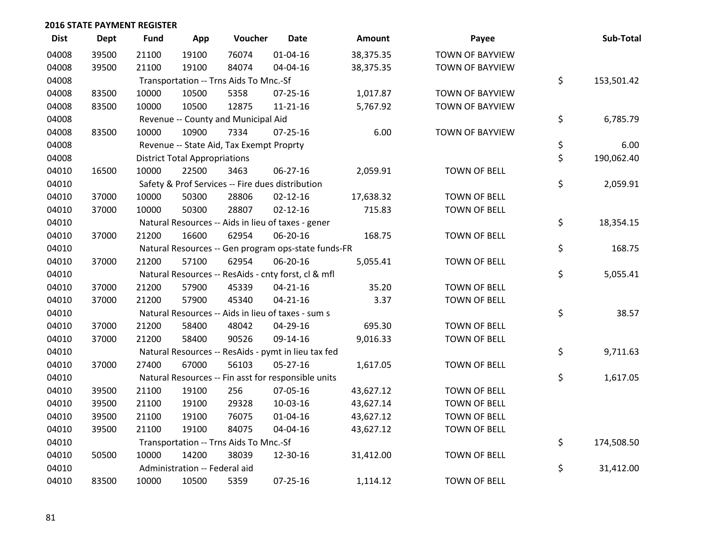| <b>Dist</b> | Dept  | <b>Fund</b> | App                                  | Voucher                                  | <b>Date</b>                                         | <b>Amount</b> | Payee               | Sub-Total        |
|-------------|-------|-------------|--------------------------------------|------------------------------------------|-----------------------------------------------------|---------------|---------------------|------------------|
| 04008       | 39500 | 21100       | 19100                                | 76074                                    | 01-04-16                                            | 38,375.35     | TOWN OF BAYVIEW     |                  |
| 04008       | 39500 | 21100       | 19100                                | 84074                                    | 04-04-16                                            | 38,375.35     | TOWN OF BAYVIEW     |                  |
| 04008       |       |             |                                      | Transportation -- Trns Aids To Mnc.-Sf   |                                                     |               |                     | \$<br>153,501.42 |
| 04008       | 83500 | 10000       | 10500                                | 5358                                     | 07-25-16                                            | 1,017.87      | TOWN OF BAYVIEW     |                  |
| 04008       | 83500 | 10000       | 10500                                | 12875                                    | $11 - 21 - 16$                                      | 5,767.92      | TOWN OF BAYVIEW     |                  |
| 04008       |       |             |                                      | Revenue -- County and Municipal Aid      |                                                     |               |                     | \$<br>6,785.79   |
| 04008       | 83500 | 10000       | 10900                                | 7334                                     | $07 - 25 - 16$                                      | 6.00          | TOWN OF BAYVIEW     |                  |
| 04008       |       |             |                                      | Revenue -- State Aid, Tax Exempt Proprty |                                                     |               |                     | \$<br>6.00       |
| 04008       |       |             | <b>District Total Appropriations</b> |                                          |                                                     |               |                     | \$<br>190,062.40 |
| 04010       | 16500 | 10000       | 22500                                | 3463                                     | 06-27-16                                            | 2,059.91      | <b>TOWN OF BELL</b> |                  |
| 04010       |       |             |                                      |                                          | Safety & Prof Services -- Fire dues distribution    |               |                     | \$<br>2,059.91   |
| 04010       | 37000 | 10000       | 50300                                | 28806                                    | $02 - 12 - 16$                                      | 17,638.32     | <b>TOWN OF BELL</b> |                  |
| 04010       | 37000 | 10000       | 50300                                | 28807                                    | $02 - 12 - 16$                                      | 715.83        | <b>TOWN OF BELL</b> |                  |
| 04010       |       |             |                                      |                                          | Natural Resources -- Aids in lieu of taxes - gener  |               |                     | \$<br>18,354.15  |
| 04010       | 37000 | 21200       | 16600                                | 62954                                    | 06-20-16                                            | 168.75        | <b>TOWN OF BELL</b> |                  |
| 04010       |       |             |                                      |                                          | Natural Resources -- Gen program ops-state funds-FR |               |                     | \$<br>168.75     |
| 04010       | 37000 | 21200       | 57100                                | 62954                                    | 06-20-16                                            | 5,055.41      | TOWN OF BELL        |                  |
| 04010       |       |             |                                      |                                          | Natural Resources -- ResAids - cnty forst, cl & mfl |               |                     | \$<br>5,055.41   |
| 04010       | 37000 | 21200       | 57900                                | 45339                                    | $04 - 21 - 16$                                      | 35.20         | <b>TOWN OF BELL</b> |                  |
| 04010       | 37000 | 21200       | 57900                                | 45340                                    | $04 - 21 - 16$                                      | 3.37          | <b>TOWN OF BELL</b> |                  |
| 04010       |       |             |                                      |                                          | Natural Resources -- Aids in lieu of taxes - sum s  |               |                     | \$<br>38.57      |
| 04010       | 37000 | 21200       | 58400                                | 48042                                    | 04-29-16                                            | 695.30        | TOWN OF BELL        |                  |
| 04010       | 37000 | 21200       | 58400                                | 90526                                    | 09-14-16                                            | 9,016.33      | TOWN OF BELL        |                  |
| 04010       |       |             |                                      |                                          | Natural Resources -- ResAids - pymt in lieu tax fed |               |                     | \$<br>9,711.63   |
| 04010       | 37000 | 27400       | 67000                                | 56103                                    | $05 - 27 - 16$                                      | 1,617.05      | <b>TOWN OF BELL</b> |                  |
| 04010       |       |             |                                      |                                          | Natural Resources -- Fin asst for responsible units |               |                     | \$<br>1,617.05   |
| 04010       | 39500 | 21100       | 19100                                | 256                                      | 07-05-16                                            | 43,627.12     | TOWN OF BELL        |                  |
| 04010       | 39500 | 21100       | 19100                                | 29328                                    | 10-03-16                                            | 43,627.14     | TOWN OF BELL        |                  |
| 04010       | 39500 | 21100       | 19100                                | 76075                                    | 01-04-16                                            | 43,627.12     | <b>TOWN OF BELL</b> |                  |
| 04010       | 39500 | 21100       | 19100                                | 84075                                    | 04-04-16                                            | 43,627.12     | TOWN OF BELL        |                  |
| 04010       |       |             |                                      | Transportation -- Trns Aids To Mnc.-Sf   |                                                     |               |                     | \$<br>174,508.50 |
| 04010       | 50500 | 10000       | 14200                                | 38039                                    | 12-30-16                                            | 31,412.00     | <b>TOWN OF BELL</b> |                  |
| 04010       |       |             | Administration -- Federal aid        |                                          |                                                     |               |                     | \$<br>31,412.00  |
| 04010       | 83500 | 10000       | 10500                                | 5359                                     | 07-25-16                                            | 1,114.12      | TOWN OF BELL        |                  |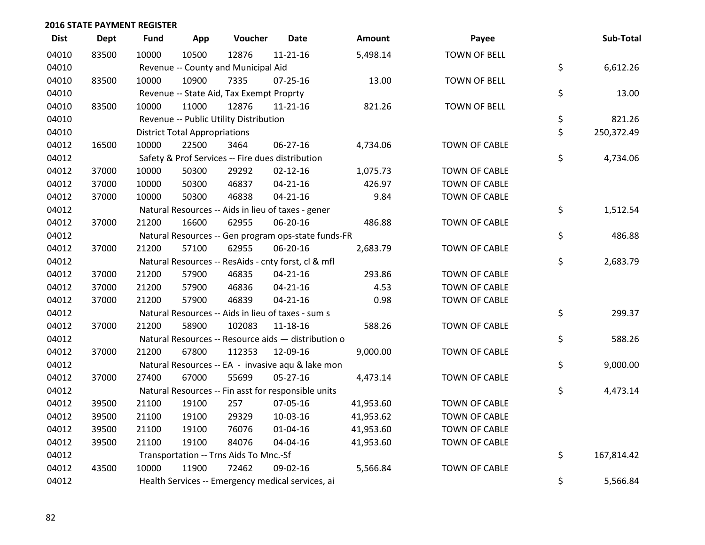| <b>Dist</b> | Dept  | <b>Fund</b> | App                                  | Voucher                                             | <b>Date</b>    | Amount    | Payee                | Sub-Total        |
|-------------|-------|-------------|--------------------------------------|-----------------------------------------------------|----------------|-----------|----------------------|------------------|
| 04010       | 83500 | 10000       | 10500                                | 12876                                               | $11 - 21 - 16$ | 5,498.14  | <b>TOWN OF BELL</b>  |                  |
| 04010       |       |             |                                      | Revenue -- County and Municipal Aid                 |                |           |                      | \$<br>6,612.26   |
| 04010       | 83500 | 10000       | 10900                                | 7335                                                | 07-25-16       | 13.00     | <b>TOWN OF BELL</b>  |                  |
| 04010       |       |             |                                      | Revenue -- State Aid, Tax Exempt Proprty            |                |           |                      | \$<br>13.00      |
| 04010       | 83500 | 10000       | 11000                                | 12876                                               | 11-21-16       | 821.26    | <b>TOWN OF BELL</b>  |                  |
| 04010       |       |             |                                      | Revenue -- Public Utility Distribution              |                |           |                      | \$<br>821.26     |
| 04010       |       |             | <b>District Total Appropriations</b> |                                                     |                |           |                      | \$<br>250,372.49 |
| 04012       | 16500 | 10000       | 22500                                | 3464                                                | 06-27-16       | 4,734.06  | TOWN OF CABLE        |                  |
| 04012       |       |             |                                      | Safety & Prof Services -- Fire dues distribution    |                |           |                      | \$<br>4,734.06   |
| 04012       | 37000 | 10000       | 50300                                | 29292                                               | $02 - 12 - 16$ | 1,075.73  | <b>TOWN OF CABLE</b> |                  |
| 04012       | 37000 | 10000       | 50300                                | 46837                                               | $04 - 21 - 16$ | 426.97    | <b>TOWN OF CABLE</b> |                  |
| 04012       | 37000 | 10000       | 50300                                | 46838                                               | $04 - 21 - 16$ | 9.84      | <b>TOWN OF CABLE</b> |                  |
| 04012       |       |             |                                      | Natural Resources -- Aids in lieu of taxes - gener  |                |           |                      | \$<br>1,512.54   |
| 04012       | 37000 | 21200       | 16600                                | 62955                                               | 06-20-16       | 486.88    | <b>TOWN OF CABLE</b> |                  |
| 04012       |       |             |                                      | Natural Resources -- Gen program ops-state funds-FR |                |           |                      | \$<br>486.88     |
| 04012       | 37000 | 21200       | 57100                                | 62955                                               | 06-20-16       | 2,683.79  | <b>TOWN OF CABLE</b> |                  |
| 04012       |       |             |                                      | Natural Resources -- ResAids - cnty forst, cl & mfl |                |           |                      | \$<br>2,683.79   |
| 04012       | 37000 | 21200       | 57900                                | 46835                                               | $04 - 21 - 16$ | 293.86    | <b>TOWN OF CABLE</b> |                  |
| 04012       | 37000 | 21200       | 57900                                | 46836                                               | $04 - 21 - 16$ | 4.53      | <b>TOWN OF CABLE</b> |                  |
| 04012       | 37000 | 21200       | 57900                                | 46839                                               | $04 - 21 - 16$ | 0.98      | <b>TOWN OF CABLE</b> |                  |
| 04012       |       |             |                                      | Natural Resources -- Aids in lieu of taxes - sum s  |                |           |                      | \$<br>299.37     |
| 04012       | 37000 | 21200       | 58900                                | 102083                                              | 11-18-16       | 588.26    | <b>TOWN OF CABLE</b> |                  |
| 04012       |       |             |                                      | Natural Resources -- Resource aids - distribution o |                |           |                      | \$<br>588.26     |
| 04012       | 37000 | 21200       | 67800                                | 112353                                              | 12-09-16       | 9,000.00  | <b>TOWN OF CABLE</b> |                  |
| 04012       |       |             |                                      | Natural Resources -- EA - invasive aqu & lake mon   |                |           |                      | \$<br>9,000.00   |
| 04012       | 37000 | 27400       | 67000                                | 55699                                               | $05 - 27 - 16$ | 4,473.14  | <b>TOWN OF CABLE</b> |                  |
| 04012       |       |             |                                      | Natural Resources -- Fin asst for responsible units |                |           |                      | \$<br>4,473.14   |
| 04012       | 39500 | 21100       | 19100                                | 257                                                 | 07-05-16       | 41,953.60 | <b>TOWN OF CABLE</b> |                  |
| 04012       | 39500 | 21100       | 19100                                | 29329                                               | 10-03-16       | 41,953.62 | <b>TOWN OF CABLE</b> |                  |
| 04012       | 39500 | 21100       | 19100                                | 76076                                               | $01 - 04 - 16$ | 41,953.60 | <b>TOWN OF CABLE</b> |                  |
| 04012       | 39500 | 21100       | 19100                                | 84076                                               | 04-04-16       | 41,953.60 | <b>TOWN OF CABLE</b> |                  |
| 04012       |       |             |                                      | Transportation -- Trns Aids To Mnc.-Sf              |                |           |                      | \$<br>167,814.42 |
| 04012       | 43500 | 10000       | 11900                                | 72462                                               | 09-02-16       | 5,566.84  | <b>TOWN OF CABLE</b> |                  |
| 04012       |       |             |                                      | Health Services -- Emergency medical services, ai   |                |           |                      | \$<br>5,566.84   |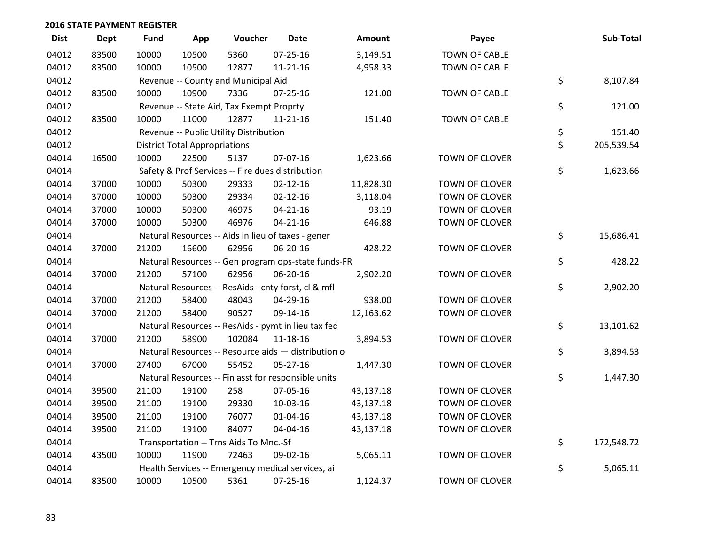| <b>Dist</b> | <b>Dept</b> | <b>Fund</b> | App                                  | Voucher                                  | <b>Date</b>                                         | Amount    | Payee                 | Sub-Total        |
|-------------|-------------|-------------|--------------------------------------|------------------------------------------|-----------------------------------------------------|-----------|-----------------------|------------------|
| 04012       | 83500       | 10000       | 10500                                | 5360                                     | 07-25-16                                            | 3,149.51  | <b>TOWN OF CABLE</b>  |                  |
| 04012       | 83500       | 10000       | 10500                                | 12877                                    | 11-21-16                                            | 4,958.33  | <b>TOWN OF CABLE</b>  |                  |
| 04012       |             |             |                                      | Revenue -- County and Municipal Aid      |                                                     |           |                       | \$<br>8,107.84   |
| 04012       | 83500       | 10000       | 10900                                | 7336                                     | $07 - 25 - 16$                                      | 121.00    | <b>TOWN OF CABLE</b>  |                  |
| 04012       |             |             |                                      | Revenue -- State Aid, Tax Exempt Proprty |                                                     |           |                       | \$<br>121.00     |
| 04012       | 83500       | 10000       | 11000                                | 12877                                    | 11-21-16                                            | 151.40    | <b>TOWN OF CABLE</b>  |                  |
| 04012       |             |             |                                      | Revenue -- Public Utility Distribution   |                                                     |           |                       | \$<br>151.40     |
| 04012       |             |             | <b>District Total Appropriations</b> |                                          |                                                     |           |                       | \$<br>205,539.54 |
| 04014       | 16500       | 10000       | 22500                                | 5137                                     | 07-07-16                                            | 1,623.66  | TOWN OF CLOVER        |                  |
| 04014       |             |             |                                      |                                          | Safety & Prof Services -- Fire dues distribution    |           |                       | \$<br>1,623.66   |
| 04014       | 37000       | 10000       | 50300                                | 29333                                    | $02 - 12 - 16$                                      | 11,828.30 | TOWN OF CLOVER        |                  |
| 04014       | 37000       | 10000       | 50300                                | 29334                                    | $02 - 12 - 16$                                      | 3,118.04  | <b>TOWN OF CLOVER</b> |                  |
| 04014       | 37000       | 10000       | 50300                                | 46975                                    | $04 - 21 - 16$                                      | 93.19     | TOWN OF CLOVER        |                  |
| 04014       | 37000       | 10000       | 50300                                | 46976                                    | $04 - 21 - 16$                                      | 646.88    | TOWN OF CLOVER        |                  |
| 04014       |             |             |                                      |                                          | Natural Resources -- Aids in lieu of taxes - gener  |           |                       | \$<br>15,686.41  |
| 04014       | 37000       | 21200       | 16600                                | 62956                                    | 06-20-16                                            | 428.22    | <b>TOWN OF CLOVER</b> |                  |
| 04014       |             |             |                                      |                                          | Natural Resources -- Gen program ops-state funds-FR |           |                       | \$<br>428.22     |
| 04014       | 37000       | 21200       | 57100                                | 62956                                    | 06-20-16                                            | 2,902.20  | TOWN OF CLOVER        |                  |
| 04014       |             |             |                                      |                                          | Natural Resources -- ResAids - cnty forst, cl & mfl |           |                       | \$<br>2,902.20   |
| 04014       | 37000       | 21200       | 58400                                | 48043                                    | 04-29-16                                            | 938.00    | TOWN OF CLOVER        |                  |
| 04014       | 37000       | 21200       | 58400                                | 90527                                    | 09-14-16                                            | 12,163.62 | TOWN OF CLOVER        |                  |
| 04014       |             |             |                                      |                                          | Natural Resources -- ResAids - pymt in lieu tax fed |           |                       | \$<br>13,101.62  |
| 04014       | 37000       | 21200       | 58900                                | 102084                                   | 11-18-16                                            | 3,894.53  | TOWN OF CLOVER        |                  |
| 04014       |             |             |                                      |                                          | Natural Resources -- Resource aids - distribution o |           |                       | \$<br>3,894.53   |
| 04014       | 37000       | 27400       | 67000                                | 55452                                    | $05 - 27 - 16$                                      | 1,447.30  | TOWN OF CLOVER        |                  |
| 04014       |             |             |                                      |                                          | Natural Resources -- Fin asst for responsible units |           |                       | \$<br>1,447.30   |
| 04014       | 39500       | 21100       | 19100                                | 258                                      | 07-05-16                                            | 43,137.18 | TOWN OF CLOVER        |                  |
| 04014       | 39500       | 21100       | 19100                                | 29330                                    | 10-03-16                                            | 43,137.18 | <b>TOWN OF CLOVER</b> |                  |
| 04014       | 39500       | 21100       | 19100                                | 76077                                    | $01 - 04 - 16$                                      | 43,137.18 | <b>TOWN OF CLOVER</b> |                  |
| 04014       | 39500       | 21100       | 19100                                | 84077                                    | 04-04-16                                            | 43,137.18 | TOWN OF CLOVER        |                  |
| 04014       |             |             |                                      | Transportation -- Trns Aids To Mnc.-Sf   |                                                     |           |                       | \$<br>172,548.72 |
| 04014       | 43500       | 10000       | 11900                                | 72463                                    | 09-02-16                                            | 5,065.11  | <b>TOWN OF CLOVER</b> |                  |
| 04014       |             |             |                                      |                                          | Health Services -- Emergency medical services, ai   |           |                       | \$<br>5,065.11   |
| 04014       | 83500       | 10000       | 10500                                | 5361                                     | $07 - 25 - 16$                                      | 1,124.37  | <b>TOWN OF CLOVER</b> |                  |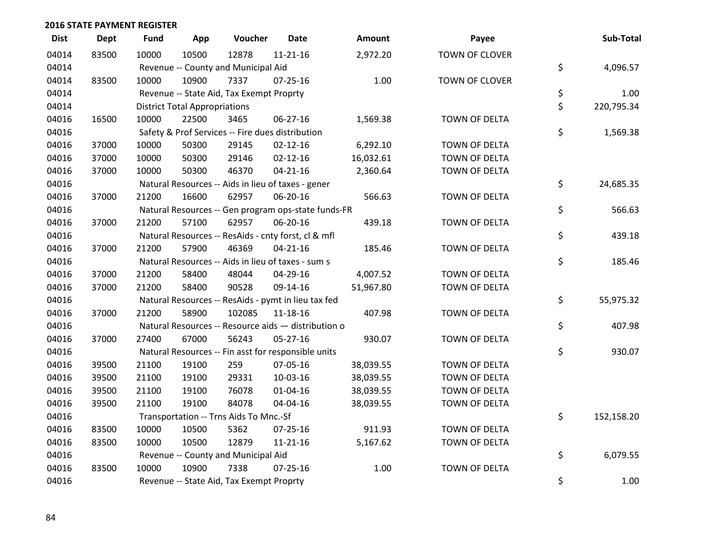| <b>Dist</b> | <b>Dept</b> | <b>Fund</b> | App                                  | Voucher                                             | <b>Date</b>    | Amount    | Payee                 | Sub-Total        |
|-------------|-------------|-------------|--------------------------------------|-----------------------------------------------------|----------------|-----------|-----------------------|------------------|
| 04014       | 83500       | 10000       | 10500                                | 12878                                               | $11 - 21 - 16$ | 2,972.20  | <b>TOWN OF CLOVER</b> |                  |
| 04014       |             |             |                                      | Revenue -- County and Municipal Aid                 |                |           |                       | \$<br>4,096.57   |
| 04014       | 83500       | 10000       | 10900                                | 7337                                                | $07 - 25 - 16$ | 1.00      | TOWN OF CLOVER        |                  |
| 04014       |             |             |                                      | Revenue -- State Aid, Tax Exempt Proprty            |                |           |                       | \$<br>1.00       |
| 04014       |             |             | <b>District Total Appropriations</b> |                                                     |                |           |                       | \$<br>220,795.34 |
| 04016       | 16500       | 10000       | 22500                                | 3465                                                | 06-27-16       | 1,569.38  | TOWN OF DELTA         |                  |
| 04016       |             |             |                                      | Safety & Prof Services -- Fire dues distribution    |                |           |                       | \$<br>1,569.38   |
| 04016       | 37000       | 10000       | 50300                                | 29145                                               | $02 - 12 - 16$ | 6,292.10  | <b>TOWN OF DELTA</b>  |                  |
| 04016       | 37000       | 10000       | 50300                                | 29146                                               | $02 - 12 - 16$ | 16,032.61 | TOWN OF DELTA         |                  |
| 04016       | 37000       | 10000       | 50300                                | 46370                                               | $04 - 21 - 16$ | 2,360.64  | TOWN OF DELTA         |                  |
| 04016       |             |             |                                      | Natural Resources -- Aids in lieu of taxes - gener  |                |           |                       | \$<br>24,685.35  |
| 04016       | 37000       | 21200       | 16600                                | 62957                                               | 06-20-16       | 566.63    | TOWN OF DELTA         |                  |
| 04016       |             |             |                                      | Natural Resources -- Gen program ops-state funds-FR |                |           |                       | \$<br>566.63     |
| 04016       | 37000       | 21200       | 57100                                | 62957                                               | 06-20-16       | 439.18    | TOWN OF DELTA         |                  |
| 04016       |             |             |                                      | Natural Resources -- ResAids - cnty forst, cl & mfl |                |           |                       | \$<br>439.18     |
| 04016       | 37000       | 21200       | 57900                                | 46369                                               | $04 - 21 - 16$ | 185.46    | TOWN OF DELTA         |                  |
| 04016       |             |             |                                      | Natural Resources -- Aids in lieu of taxes - sum s  |                |           |                       | \$<br>185.46     |
| 04016       | 37000       | 21200       | 58400                                | 48044                                               | 04-29-16       | 4,007.52  | TOWN OF DELTA         |                  |
| 04016       | 37000       | 21200       | 58400                                | 90528                                               | 09-14-16       | 51,967.80 | <b>TOWN OF DELTA</b>  |                  |
| 04016       |             |             |                                      | Natural Resources -- ResAids - pymt in lieu tax fed |                |           |                       | \$<br>55,975.32  |
| 04016       | 37000       | 21200       | 58900                                | 102085                                              | 11-18-16       | 407.98    | TOWN OF DELTA         |                  |
| 04016       |             |             |                                      | Natural Resources -- Resource aids - distribution o |                |           |                       | \$<br>407.98     |
| 04016       | 37000       | 27400       | 67000                                | 56243                                               | $05 - 27 - 16$ | 930.07    | TOWN OF DELTA         |                  |
| 04016       |             |             |                                      | Natural Resources -- Fin asst for responsible units |                |           |                       | \$<br>930.07     |
| 04016       | 39500       | 21100       | 19100                                | 259                                                 | 07-05-16       | 38,039.55 | TOWN OF DELTA         |                  |
| 04016       | 39500       | 21100       | 19100                                | 29331                                               | 10-03-16       | 38,039.55 | TOWN OF DELTA         |                  |
| 04016       | 39500       | 21100       | 19100                                | 76078                                               | $01 - 04 - 16$ | 38,039.55 | TOWN OF DELTA         |                  |
| 04016       | 39500       | 21100       | 19100                                | 84078                                               | 04-04-16       | 38,039.55 | TOWN OF DELTA         |                  |
| 04016       |             |             |                                      | Transportation -- Trns Aids To Mnc.-Sf              |                |           |                       | \$<br>152,158.20 |
| 04016       | 83500       | 10000       | 10500                                | 5362                                                | 07-25-16       | 911.93    | TOWN OF DELTA         |                  |
| 04016       | 83500       | 10000       | 10500                                | 12879                                               | $11 - 21 - 16$ | 5,167.62  | TOWN OF DELTA         |                  |
| 04016       |             |             |                                      | Revenue -- County and Municipal Aid                 |                |           |                       | \$<br>6,079.55   |
| 04016       | 83500       | 10000       | 10900                                | 7338                                                | $07 - 25 - 16$ | 1.00      | TOWN OF DELTA         |                  |
| 04016       |             |             |                                      | Revenue -- State Aid, Tax Exempt Proprty            |                |           |                       | \$<br>1.00       |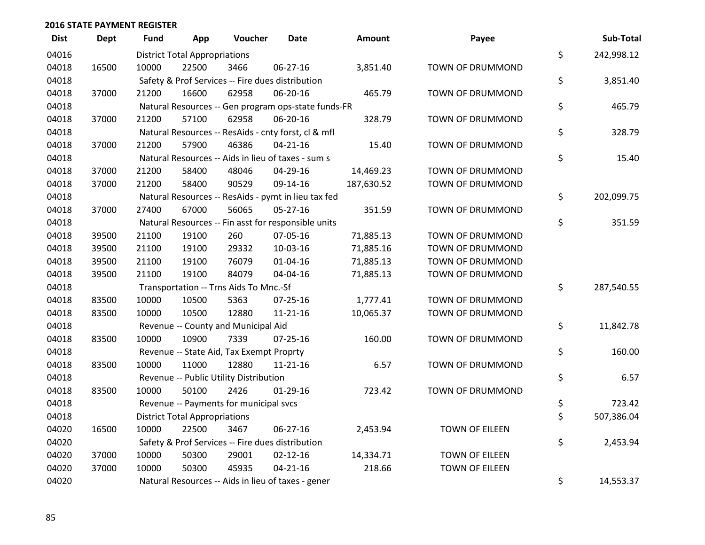| <b>Dist</b> | <b>Dept</b> | Fund  | App                                  | Voucher                                             | <b>Date</b>    | Amount     | Payee                 | Sub-Total        |
|-------------|-------------|-------|--------------------------------------|-----------------------------------------------------|----------------|------------|-----------------------|------------------|
| 04016       |             |       | <b>District Total Appropriations</b> |                                                     |                |            |                       | \$<br>242,998.12 |
| 04018       | 16500       | 10000 | 22500                                | 3466                                                | 06-27-16       | 3,851.40   | TOWN OF DRUMMOND      |                  |
| 04018       |             |       |                                      | Safety & Prof Services -- Fire dues distribution    |                |            |                       | \$<br>3,851.40   |
| 04018       | 37000       | 21200 | 16600                                | 62958                                               | 06-20-16       | 465.79     | TOWN OF DRUMMOND      |                  |
| 04018       |             |       |                                      | Natural Resources -- Gen program ops-state funds-FR |                |            |                       | \$<br>465.79     |
| 04018       | 37000       | 21200 | 57100                                | 62958                                               | 06-20-16       | 328.79     | TOWN OF DRUMMOND      |                  |
| 04018       |             |       |                                      | Natural Resources -- ResAids - cnty forst, cl & mfl |                |            |                       | \$<br>328.79     |
| 04018       | 37000       | 21200 | 57900                                | 46386                                               | $04 - 21 - 16$ | 15.40      | TOWN OF DRUMMOND      |                  |
| 04018       |             |       |                                      | Natural Resources -- Aids in lieu of taxes - sum s  |                |            |                       | \$<br>15.40      |
| 04018       | 37000       | 21200 | 58400                                | 48046                                               | 04-29-16       | 14,469.23  | TOWN OF DRUMMOND      |                  |
| 04018       | 37000       | 21200 | 58400                                | 90529                                               | 09-14-16       | 187,630.52 | TOWN OF DRUMMOND      |                  |
| 04018       |             |       |                                      | Natural Resources -- ResAids - pymt in lieu tax fed |                |            |                       | \$<br>202,099.75 |
| 04018       | 37000       | 27400 | 67000                                | 56065                                               | 05-27-16       | 351.59     | TOWN OF DRUMMOND      |                  |
| 04018       |             |       |                                      | Natural Resources -- Fin asst for responsible units |                |            |                       | \$<br>351.59     |
| 04018       | 39500       | 21100 | 19100                                | 260                                                 | 07-05-16       | 71,885.13  | TOWN OF DRUMMOND      |                  |
| 04018       | 39500       | 21100 | 19100                                | 29332                                               | 10-03-16       | 71,885.16  | TOWN OF DRUMMOND      |                  |
| 04018       | 39500       | 21100 | 19100                                | 76079                                               | $01 - 04 - 16$ | 71,885.13  | TOWN OF DRUMMOND      |                  |
| 04018       | 39500       | 21100 | 19100                                | 84079                                               | 04-04-16       | 71,885.13  | TOWN OF DRUMMOND      |                  |
| 04018       |             |       |                                      | Transportation -- Trns Aids To Mnc.-Sf              |                |            |                       | \$<br>287,540.55 |
| 04018       | 83500       | 10000 | 10500                                | 5363                                                | 07-25-16       | 1,777.41   | TOWN OF DRUMMOND      |                  |
| 04018       | 83500       | 10000 | 10500                                | 12880                                               | $11 - 21 - 16$ | 10,065.37  | TOWN OF DRUMMOND      |                  |
| 04018       |             |       |                                      | Revenue -- County and Municipal Aid                 |                |            |                       | \$<br>11,842.78  |
| 04018       | 83500       | 10000 | 10900                                | 7339                                                | $07 - 25 - 16$ | 160.00     | TOWN OF DRUMMOND      |                  |
| 04018       |             |       |                                      | Revenue -- State Aid, Tax Exempt Proprty            |                |            |                       | \$<br>160.00     |
| 04018       | 83500       | 10000 | 11000                                | 12880                                               | $11 - 21 - 16$ | 6.57       | TOWN OF DRUMMOND      |                  |
| 04018       |             |       |                                      | Revenue -- Public Utility Distribution              |                |            |                       | \$<br>6.57       |
| 04018       | 83500       | 10000 | 50100                                | 2426                                                | $01-29-16$     | 723.42     | TOWN OF DRUMMOND      |                  |
| 04018       |             |       |                                      | Revenue -- Payments for municipal svcs              |                |            |                       | \$<br>723.42     |
| 04018       |             |       | <b>District Total Appropriations</b> |                                                     |                |            |                       | \$<br>507,386.04 |
| 04020       | 16500       | 10000 | 22500                                | 3467                                                | 06-27-16       | 2,453.94   | <b>TOWN OF EILEEN</b> |                  |
| 04020       |             |       |                                      | Safety & Prof Services -- Fire dues distribution    |                |            |                       | \$<br>2,453.94   |
| 04020       | 37000       | 10000 | 50300                                | 29001                                               | $02 - 12 - 16$ | 14,334.71  | TOWN OF EILEEN        |                  |
| 04020       | 37000       | 10000 | 50300                                | 45935                                               | $04 - 21 - 16$ | 218.66     | TOWN OF EILEEN        |                  |
| 04020       |             |       |                                      | Natural Resources -- Aids in lieu of taxes - gener  |                |            |                       | \$<br>14,553.37  |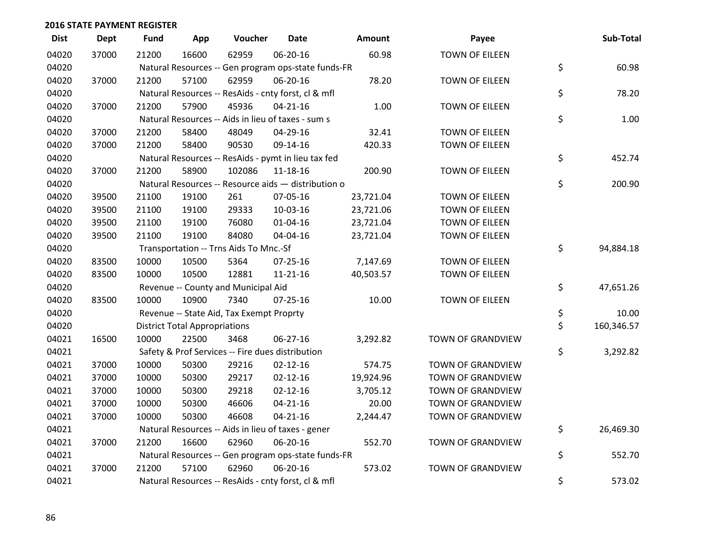| <b>Dist</b> | <b>Dept</b> | <b>Fund</b> | App                                  | Voucher                                             | <b>Date</b>    | Amount    | Payee                    | Sub-Total        |
|-------------|-------------|-------------|--------------------------------------|-----------------------------------------------------|----------------|-----------|--------------------------|------------------|
| 04020       | 37000       | 21200       | 16600                                | 62959                                               | 06-20-16       | 60.98     | <b>TOWN OF EILEEN</b>    |                  |
| 04020       |             |             |                                      | Natural Resources -- Gen program ops-state funds-FR |                |           |                          | \$<br>60.98      |
| 04020       | 37000       | 21200       | 57100                                | 62959                                               | 06-20-16       | 78.20     | <b>TOWN OF EILEEN</b>    |                  |
| 04020       |             |             |                                      | Natural Resources -- ResAids - cnty forst, cl & mfl |                |           |                          | \$<br>78.20      |
| 04020       | 37000       | 21200       | 57900                                | 45936                                               | $04 - 21 - 16$ | 1.00      | <b>TOWN OF EILEEN</b>    |                  |
| 04020       |             |             |                                      | Natural Resources -- Aids in lieu of taxes - sum s  |                |           |                          | \$<br>1.00       |
| 04020       | 37000       | 21200       | 58400                                | 48049                                               | 04-29-16       | 32.41     | TOWN OF EILEEN           |                  |
| 04020       | 37000       | 21200       | 58400                                | 90530                                               | 09-14-16       | 420.33    | <b>TOWN OF EILEEN</b>    |                  |
| 04020       |             |             |                                      | Natural Resources -- ResAids - pymt in lieu tax fed |                |           |                          | \$<br>452.74     |
| 04020       | 37000       | 21200       | 58900                                | 102086                                              | $11 - 18 - 16$ | 200.90    | <b>TOWN OF EILEEN</b>    |                  |
| 04020       |             |             |                                      | Natural Resources -- Resource aids - distribution o |                |           |                          | \$<br>200.90     |
| 04020       | 39500       | 21100       | 19100                                | 261                                                 | 07-05-16       | 23,721.04 | <b>TOWN OF EILEEN</b>    |                  |
| 04020       | 39500       | 21100       | 19100                                | 29333                                               | 10-03-16       | 23,721.06 | <b>TOWN OF EILEEN</b>    |                  |
| 04020       | 39500       | 21100       | 19100                                | 76080                                               | $01 - 04 - 16$ | 23,721.04 | <b>TOWN OF EILEEN</b>    |                  |
| 04020       | 39500       | 21100       | 19100                                | 84080                                               | 04-04-16       | 23,721.04 | <b>TOWN OF EILEEN</b>    |                  |
| 04020       |             |             |                                      | Transportation -- Trns Aids To Mnc.-Sf              |                |           |                          | \$<br>94,884.18  |
| 04020       | 83500       | 10000       | 10500                                | 5364                                                | 07-25-16       | 7,147.69  | <b>TOWN OF EILEEN</b>    |                  |
| 04020       | 83500       | 10000       | 10500                                | 12881                                               | 11-21-16       | 40,503.57 | <b>TOWN OF EILEEN</b>    |                  |
| 04020       |             |             |                                      | Revenue -- County and Municipal Aid                 |                |           |                          | \$<br>47,651.26  |
| 04020       | 83500       | 10000       | 10900                                | 7340                                                | $07 - 25 - 16$ | 10.00     | <b>TOWN OF EILEEN</b>    |                  |
| 04020       |             |             |                                      | Revenue -- State Aid, Tax Exempt Proprty            |                |           |                          | \$<br>10.00      |
| 04020       |             |             | <b>District Total Appropriations</b> |                                                     |                |           |                          | \$<br>160,346.57 |
| 04021       | 16500       | 10000       | 22500                                | 3468                                                | 06-27-16       | 3,292.82  | TOWN OF GRANDVIEW        |                  |
| 04021       |             |             |                                      | Safety & Prof Services -- Fire dues distribution    |                |           |                          | \$<br>3,292.82   |
| 04021       | 37000       | 10000       | 50300                                | 29216                                               | $02 - 12 - 16$ | 574.75    | TOWN OF GRANDVIEW        |                  |
| 04021       | 37000       | 10000       | 50300                                | 29217                                               | $02 - 12 - 16$ | 19,924.96 | <b>TOWN OF GRANDVIEW</b> |                  |
| 04021       | 37000       | 10000       | 50300                                | 29218                                               | $02 - 12 - 16$ | 3,705.12  | TOWN OF GRANDVIEW        |                  |
| 04021       | 37000       | 10000       | 50300                                | 46606                                               | $04 - 21 - 16$ | 20.00     | <b>TOWN OF GRANDVIEW</b> |                  |
| 04021       | 37000       | 10000       | 50300                                | 46608                                               | $04 - 21 - 16$ | 2,244.47  | <b>TOWN OF GRANDVIEW</b> |                  |
| 04021       |             |             |                                      | Natural Resources -- Aids in lieu of taxes - gener  |                |           |                          | \$<br>26,469.30  |
| 04021       | 37000       | 21200       | 16600                                | 62960                                               | 06-20-16       | 552.70    | TOWN OF GRANDVIEW        |                  |
| 04021       |             |             |                                      | Natural Resources -- Gen program ops-state funds-FR |                |           |                          | \$<br>552.70     |
| 04021       | 37000       | 21200       | 57100                                | 62960                                               | 06-20-16       | 573.02    | <b>TOWN OF GRANDVIEW</b> |                  |
| 04021       |             |             |                                      | Natural Resources -- ResAids - cnty forst, cl & mfl |                |           |                          | \$<br>573.02     |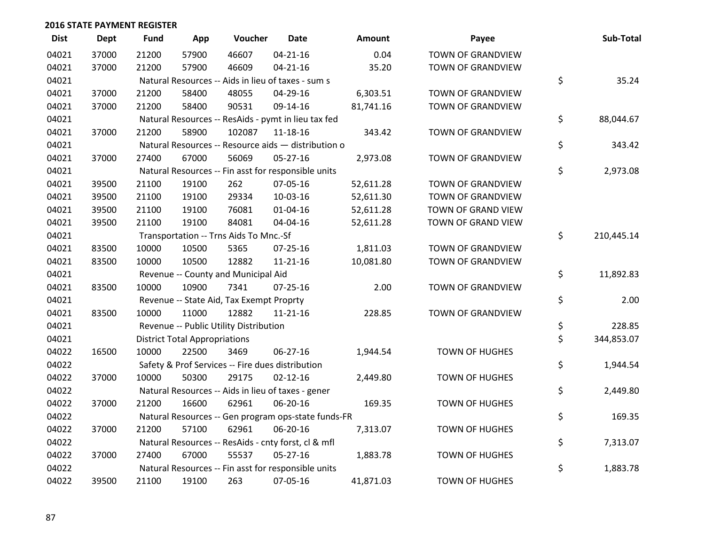| <b>Dist</b> | <b>Dept</b> | <b>Fund</b> | App                                  | Voucher                                             | <b>Date</b>    | Amount    | Payee                 | Sub-Total        |
|-------------|-------------|-------------|--------------------------------------|-----------------------------------------------------|----------------|-----------|-----------------------|------------------|
| 04021       | 37000       | 21200       | 57900                                | 46607                                               | $04 - 21 - 16$ | 0.04      | TOWN OF GRANDVIEW     |                  |
| 04021       | 37000       | 21200       | 57900                                | 46609                                               | $04 - 21 - 16$ | 35.20     | TOWN OF GRANDVIEW     |                  |
| 04021       |             |             |                                      | Natural Resources -- Aids in lieu of taxes - sum s  |                |           |                       | \$<br>35.24      |
| 04021       | 37000       | 21200       | 58400                                | 48055                                               | 04-29-16       | 6,303.51  | TOWN OF GRANDVIEW     |                  |
| 04021       | 37000       | 21200       | 58400                                | 90531                                               | 09-14-16       | 81,741.16 | TOWN OF GRANDVIEW     |                  |
| 04021       |             |             |                                      | Natural Resources -- ResAids - pymt in lieu tax fed |                |           |                       | \$<br>88,044.67  |
| 04021       | 37000       | 21200       | 58900                                | 102087                                              | 11-18-16       | 343.42    | TOWN OF GRANDVIEW     |                  |
| 04021       |             |             |                                      | Natural Resources -- Resource aids - distribution o |                |           |                       | \$<br>343.42     |
| 04021       | 37000       | 27400       | 67000                                | 56069                                               | 05-27-16       | 2,973.08  | TOWN OF GRANDVIEW     |                  |
| 04021       |             |             |                                      | Natural Resources -- Fin asst for responsible units |                |           |                       | \$<br>2,973.08   |
| 04021       | 39500       | 21100       | 19100                                | 262                                                 | 07-05-16       | 52,611.28 | TOWN OF GRANDVIEW     |                  |
| 04021       | 39500       | 21100       | 19100                                | 29334                                               | 10-03-16       | 52,611.30 | TOWN OF GRANDVIEW     |                  |
| 04021       | 39500       | 21100       | 19100                                | 76081                                               | $01 - 04 - 16$ | 52,611.28 | TOWN OF GRAND VIEW    |                  |
| 04021       | 39500       | 21100       | 19100                                | 84081                                               | 04-04-16       | 52,611.28 | TOWN OF GRAND VIEW    |                  |
| 04021       |             |             |                                      | Transportation -- Trns Aids To Mnc.-Sf              |                |           |                       | \$<br>210,445.14 |
| 04021       | 83500       | 10000       | 10500                                | 5365                                                | $07 - 25 - 16$ | 1,811.03  | TOWN OF GRANDVIEW     |                  |
| 04021       | 83500       | 10000       | 10500                                | 12882                                               | $11 - 21 - 16$ | 10,081.80 | TOWN OF GRANDVIEW     |                  |
| 04021       |             |             |                                      | Revenue -- County and Municipal Aid                 |                |           |                       | \$<br>11,892.83  |
| 04021       | 83500       | 10000       | 10900                                | 7341                                                | $07 - 25 - 16$ | 2.00      | TOWN OF GRANDVIEW     |                  |
| 04021       |             |             |                                      | Revenue -- State Aid, Tax Exempt Proprty            |                |           |                       | \$<br>2.00       |
| 04021       | 83500       | 10000       | 11000                                | 12882                                               | $11 - 21 - 16$ | 228.85    | TOWN OF GRANDVIEW     |                  |
| 04021       |             |             |                                      | Revenue -- Public Utility Distribution              |                |           |                       | \$<br>228.85     |
| 04021       |             |             | <b>District Total Appropriations</b> |                                                     |                |           |                       | \$<br>344,853.07 |
| 04022       | 16500       | 10000       | 22500                                | 3469                                                | 06-27-16       | 1,944.54  | TOWN OF HUGHES        |                  |
| 04022       |             |             |                                      | Safety & Prof Services -- Fire dues distribution    |                |           |                       | \$<br>1,944.54   |
| 04022       | 37000       | 10000       | 50300                                | 29175                                               | $02 - 12 - 16$ | 2,449.80  | <b>TOWN OF HUGHES</b> |                  |
| 04022       |             |             |                                      | Natural Resources -- Aids in lieu of taxes - gener  |                |           |                       | \$<br>2,449.80   |
| 04022       | 37000       | 21200       | 16600                                | 62961                                               | 06-20-16       | 169.35    | <b>TOWN OF HUGHES</b> |                  |
| 04022       |             |             |                                      | Natural Resources -- Gen program ops-state funds-FR |                |           |                       | \$<br>169.35     |
| 04022       | 37000       | 21200       | 57100                                | 62961                                               | 06-20-16       | 7,313.07  | <b>TOWN OF HUGHES</b> |                  |
| 04022       |             |             |                                      | Natural Resources -- ResAids - cnty forst, cl & mfl |                |           |                       | \$<br>7,313.07   |
| 04022       | 37000       | 27400       | 67000                                | 55537                                               | $05 - 27 - 16$ | 1,883.78  | <b>TOWN OF HUGHES</b> |                  |
| 04022       |             |             |                                      | Natural Resources -- Fin asst for responsible units |                |           |                       | \$<br>1,883.78   |
| 04022       | 39500       | 21100       | 19100                                | 263                                                 | 07-05-16       | 41,871.03 | <b>TOWN OF HUGHES</b> |                  |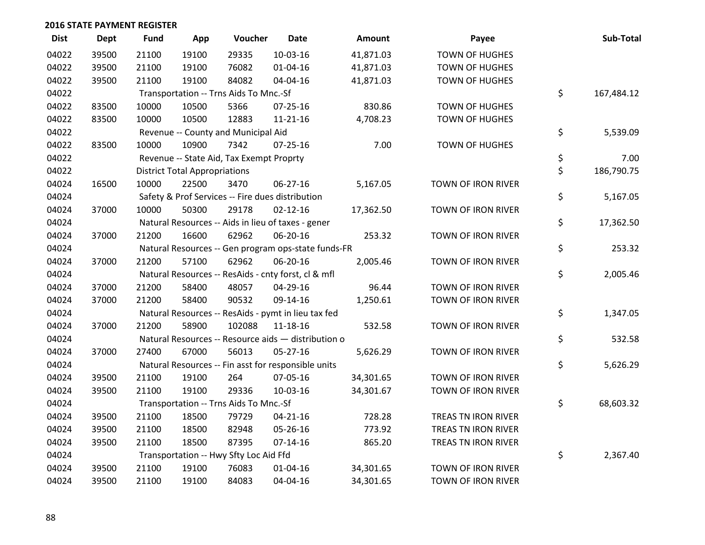| <b>Dist</b> | <b>Dept</b> | <b>Fund</b> | App                                  | Voucher                                  | <b>Date</b>                                         | Amount    | Payee                     | Sub-Total        |
|-------------|-------------|-------------|--------------------------------------|------------------------------------------|-----------------------------------------------------|-----------|---------------------------|------------------|
| 04022       | 39500       | 21100       | 19100                                | 29335                                    | 10-03-16                                            | 41,871.03 | <b>TOWN OF HUGHES</b>     |                  |
| 04022       | 39500       | 21100       | 19100                                | 76082                                    | $01 - 04 - 16$                                      | 41,871.03 | <b>TOWN OF HUGHES</b>     |                  |
| 04022       | 39500       | 21100       | 19100                                | 84082                                    | 04-04-16                                            | 41,871.03 | <b>TOWN OF HUGHES</b>     |                  |
| 04022       |             |             |                                      | Transportation -- Trns Aids To Mnc.-Sf   |                                                     |           |                           | \$<br>167,484.12 |
| 04022       | 83500       | 10000       | 10500                                | 5366                                     | $07 - 25 - 16$                                      | 830.86    | <b>TOWN OF HUGHES</b>     |                  |
| 04022       | 83500       | 10000       | 10500                                | 12883                                    | $11 - 21 - 16$                                      | 4,708.23  | <b>TOWN OF HUGHES</b>     |                  |
| 04022       |             |             |                                      | Revenue -- County and Municipal Aid      |                                                     |           |                           | \$<br>5,539.09   |
| 04022       | 83500       | 10000       | 10900                                | 7342                                     | 07-25-16                                            | 7.00      | <b>TOWN OF HUGHES</b>     |                  |
| 04022       |             |             |                                      | Revenue -- State Aid, Tax Exempt Proprty |                                                     |           |                           | \$<br>7.00       |
| 04022       |             |             | <b>District Total Appropriations</b> |                                          |                                                     |           |                           | \$<br>186,790.75 |
| 04024       | 16500       | 10000       | 22500                                | 3470                                     | 06-27-16                                            | 5,167.05  | TOWN OF IRON RIVER        |                  |
| 04024       |             |             |                                      |                                          | Safety & Prof Services -- Fire dues distribution    |           |                           | \$<br>5,167.05   |
| 04024       | 37000       | 10000       | 50300                                | 29178                                    | $02 - 12 - 16$                                      | 17,362.50 | TOWN OF IRON RIVER        |                  |
| 04024       |             |             |                                      |                                          | Natural Resources -- Aids in lieu of taxes - gener  |           |                           | \$<br>17,362.50  |
| 04024       | 37000       | 21200       | 16600                                | 62962                                    | 06-20-16                                            | 253.32    | TOWN OF IRON RIVER        |                  |
| 04024       |             |             |                                      |                                          | Natural Resources -- Gen program ops-state funds-FR |           |                           | \$<br>253.32     |
| 04024       | 37000       | 21200       | 57100                                | 62962                                    | 06-20-16                                            | 2,005.46  | TOWN OF IRON RIVER        |                  |
| 04024       |             |             |                                      |                                          | Natural Resources -- ResAids - cnty forst, cl & mfl |           |                           | \$<br>2,005.46   |
| 04024       | 37000       | 21200       | 58400                                | 48057                                    | 04-29-16                                            | 96.44     | TOWN OF IRON RIVER        |                  |
| 04024       | 37000       | 21200       | 58400                                | 90532                                    | 09-14-16                                            | 1,250.61  | TOWN OF IRON RIVER        |                  |
| 04024       |             |             |                                      |                                          | Natural Resources -- ResAids - pymt in lieu tax fed |           |                           | \$<br>1,347.05   |
| 04024       | 37000       | 21200       | 58900                                | 102088                                   | 11-18-16                                            | 532.58    | TOWN OF IRON RIVER        |                  |
| 04024       |             |             |                                      |                                          | Natural Resources -- Resource aids - distribution o |           |                           | \$<br>532.58     |
| 04024       | 37000       | 27400       | 67000                                | 56013                                    | $05 - 27 - 16$                                      | 5,626.29  | TOWN OF IRON RIVER        |                  |
| 04024       |             |             |                                      |                                          | Natural Resources -- Fin asst for responsible units |           |                           | \$<br>5,626.29   |
| 04024       | 39500       | 21100       | 19100                                | 264                                      | 07-05-16                                            | 34,301.65 | TOWN OF IRON RIVER        |                  |
| 04024       | 39500       | 21100       | 19100                                | 29336                                    | 10-03-16                                            | 34,301.67 | TOWN OF IRON RIVER        |                  |
| 04024       |             |             |                                      | Transportation -- Trns Aids To Mnc.-Sf   |                                                     |           |                           | \$<br>68,603.32  |
| 04024       | 39500       | 21100       | 18500                                | 79729                                    | $04 - 21 - 16$                                      | 728.28    | TREAS TN IRON RIVER       |                  |
| 04024       | 39500       | 21100       | 18500                                | 82948                                    | 05-26-16                                            | 773.92    | TREAS TN IRON RIVER       |                  |
| 04024       | 39500       | 21100       | 18500                                | 87395                                    | $07 - 14 - 16$                                      | 865.20    | TREAS TN IRON RIVER       |                  |
| 04024       |             |             |                                      | Transportation -- Hwy Sfty Loc Aid Ffd   |                                                     |           |                           | \$<br>2,367.40   |
| 04024       | 39500       | 21100       | 19100                                | 76083                                    | 01-04-16                                            | 34,301.65 | TOWN OF IRON RIVER        |                  |
| 04024       | 39500       | 21100       | 19100                                | 84083                                    | 04-04-16                                            | 34,301.65 | <b>TOWN OF IRON RIVER</b> |                  |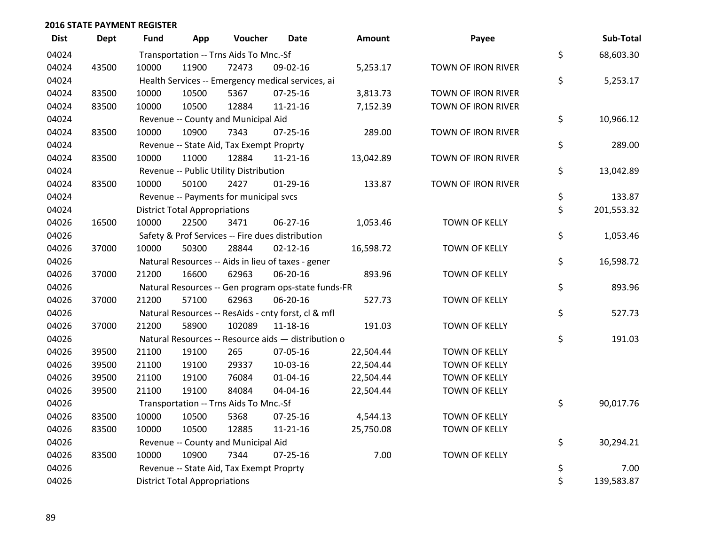| <b>Dist</b> | <b>Dept</b> | Fund  | App                                  | Voucher                                             | <b>Date</b>    | <b>Amount</b> | Payee                | Sub-Total        |
|-------------|-------------|-------|--------------------------------------|-----------------------------------------------------|----------------|---------------|----------------------|------------------|
| 04024       |             |       |                                      | Transportation -- Trns Aids To Mnc.-Sf              |                |               |                      | \$<br>68,603.30  |
| 04024       | 43500       | 10000 | 11900                                | 72473                                               | 09-02-16       | 5,253.17      | TOWN OF IRON RIVER   |                  |
| 04024       |             |       |                                      | Health Services -- Emergency medical services, ai   |                |               |                      | \$<br>5,253.17   |
| 04024       | 83500       | 10000 | 10500                                | 5367                                                | $07 - 25 - 16$ | 3,813.73      | TOWN OF IRON RIVER   |                  |
| 04024       | 83500       | 10000 | 10500                                | 12884                                               | 11-21-16       | 7,152.39      | TOWN OF IRON RIVER   |                  |
| 04024       |             |       |                                      | Revenue -- County and Municipal Aid                 |                |               |                      | \$<br>10,966.12  |
| 04024       | 83500       | 10000 | 10900                                | 7343                                                | $07 - 25 - 16$ | 289.00        | TOWN OF IRON RIVER   |                  |
| 04024       |             |       |                                      | Revenue -- State Aid, Tax Exempt Proprty            |                |               |                      | \$<br>289.00     |
| 04024       | 83500       | 10000 | 11000                                | 12884                                               | 11-21-16       | 13,042.89     | TOWN OF IRON RIVER   |                  |
| 04024       |             |       |                                      | Revenue -- Public Utility Distribution              |                |               |                      | \$<br>13,042.89  |
| 04024       | 83500       | 10000 | 50100                                | 2427                                                | $01-29-16$     | 133.87        | TOWN OF IRON RIVER   |                  |
| 04024       |             |       |                                      | Revenue -- Payments for municipal svcs              |                |               |                      | \$<br>133.87     |
| 04024       |             |       | <b>District Total Appropriations</b> |                                                     |                |               |                      | \$<br>201,553.32 |
| 04026       | 16500       | 10000 | 22500                                | 3471                                                | 06-27-16       | 1,053.46      | TOWN OF KELLY        |                  |
| 04026       |             |       |                                      | Safety & Prof Services -- Fire dues distribution    |                |               |                      | \$<br>1,053.46   |
| 04026       | 37000       | 10000 | 50300                                | 28844                                               | $02 - 12 - 16$ | 16,598.72     | TOWN OF KELLY        |                  |
| 04026       |             |       |                                      | Natural Resources -- Aids in lieu of taxes - gener  |                |               |                      | \$<br>16,598.72  |
| 04026       | 37000       | 21200 | 16600                                | 62963                                               | 06-20-16       | 893.96        | TOWN OF KELLY        |                  |
| 04026       |             |       |                                      | Natural Resources -- Gen program ops-state funds-FR |                |               |                      | \$<br>893.96     |
| 04026       | 37000       | 21200 | 57100                                | 62963                                               | 06-20-16       | 527.73        | <b>TOWN OF KELLY</b> |                  |
| 04026       |             |       |                                      | Natural Resources -- ResAids - cnty forst, cl & mfl |                |               |                      | \$<br>527.73     |
| 04026       | 37000       | 21200 | 58900                                | 102089                                              | 11-18-16       | 191.03        | TOWN OF KELLY        |                  |
| 04026       |             |       |                                      | Natural Resources -- Resource aids - distribution o |                |               |                      | \$<br>191.03     |
| 04026       | 39500       | 21100 | 19100                                | 265                                                 | 07-05-16       | 22,504.44     | TOWN OF KELLY        |                  |
| 04026       | 39500       | 21100 | 19100                                | 29337                                               | 10-03-16       | 22,504.44     | TOWN OF KELLY        |                  |
| 04026       | 39500       | 21100 | 19100                                | 76084                                               | $01 - 04 - 16$ | 22,504.44     | TOWN OF KELLY        |                  |
| 04026       | 39500       | 21100 | 19100                                | 84084                                               | 04-04-16       | 22,504.44     | TOWN OF KELLY        |                  |
| 04026       |             |       |                                      | Transportation -- Trns Aids To Mnc.-Sf              |                |               |                      | \$<br>90,017.76  |
| 04026       | 83500       | 10000 | 10500                                | 5368                                                | 07-25-16       | 4,544.13      | TOWN OF KELLY        |                  |
| 04026       | 83500       | 10000 | 10500                                | 12885                                               | 11-21-16       | 25,750.08     | TOWN OF KELLY        |                  |
| 04026       |             |       |                                      | Revenue -- County and Municipal Aid                 |                |               |                      | \$<br>30,294.21  |
| 04026       | 83500       | 10000 | 10900                                | 7344                                                | $07 - 25 - 16$ | 7.00          | <b>TOWN OF KELLY</b> |                  |
| 04026       |             |       |                                      | Revenue -- State Aid, Tax Exempt Proprty            |                |               |                      | \$<br>7.00       |
| 04026       |             |       | <b>District Total Appropriations</b> |                                                     |                |               |                      | \$<br>139,583.87 |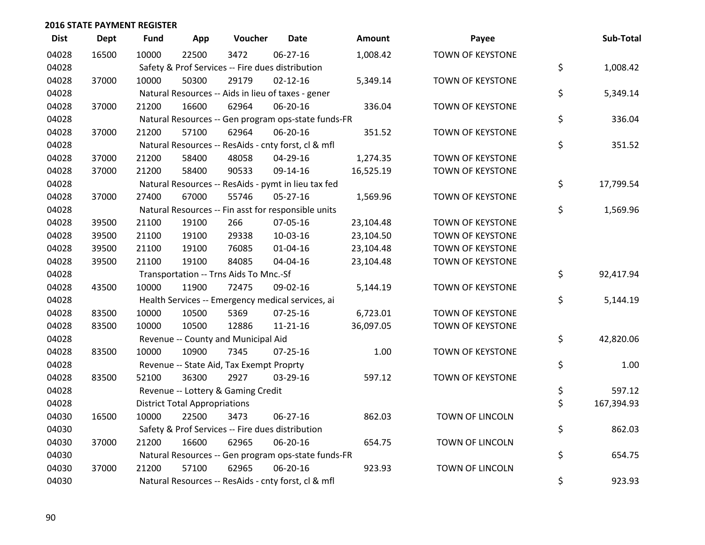| <b>Dist</b> | Dept  | <b>Fund</b> | App                                  | Voucher                                             | <b>Date</b>    | <b>Amount</b> | Payee                   | Sub-Total        |
|-------------|-------|-------------|--------------------------------------|-----------------------------------------------------|----------------|---------------|-------------------------|------------------|
| 04028       | 16500 | 10000       | 22500                                | 3472                                                | 06-27-16       | 1,008.42      | <b>TOWN OF KEYSTONE</b> |                  |
| 04028       |       |             |                                      | Safety & Prof Services -- Fire dues distribution    |                |               |                         | \$<br>1,008.42   |
| 04028       | 37000 | 10000       | 50300                                | 29179                                               | $02 - 12 - 16$ | 5,349.14      | TOWN OF KEYSTONE        |                  |
| 04028       |       |             |                                      | Natural Resources -- Aids in lieu of taxes - gener  |                |               |                         | \$<br>5,349.14   |
| 04028       | 37000 | 21200       | 16600                                | 62964                                               | 06-20-16       | 336.04        | <b>TOWN OF KEYSTONE</b> |                  |
| 04028       |       |             |                                      | Natural Resources -- Gen program ops-state funds-FR |                |               |                         | \$<br>336.04     |
| 04028       | 37000 | 21200       | 57100                                | 62964                                               | 06-20-16       | 351.52        | TOWN OF KEYSTONE        |                  |
| 04028       |       |             |                                      | Natural Resources -- ResAids - cnty forst, cl & mfl |                |               |                         | \$<br>351.52     |
| 04028       | 37000 | 21200       | 58400                                | 48058                                               | 04-29-16       | 1,274.35      | TOWN OF KEYSTONE        |                  |
| 04028       | 37000 | 21200       | 58400                                | 90533                                               | 09-14-16       | 16,525.19     | TOWN OF KEYSTONE        |                  |
| 04028       |       |             |                                      | Natural Resources -- ResAids - pymt in lieu tax fed |                |               |                         | \$<br>17,799.54  |
| 04028       | 37000 | 27400       | 67000                                | 55746                                               | $05 - 27 - 16$ | 1,569.96      | <b>TOWN OF KEYSTONE</b> |                  |
| 04028       |       |             |                                      | Natural Resources -- Fin asst for responsible units |                |               |                         | \$<br>1,569.96   |
| 04028       | 39500 | 21100       | 19100                                | 266                                                 | 07-05-16       | 23,104.48     | TOWN OF KEYSTONE        |                  |
| 04028       | 39500 | 21100       | 19100                                | 29338                                               | 10-03-16       | 23,104.50     | TOWN OF KEYSTONE        |                  |
| 04028       | 39500 | 21100       | 19100                                | 76085                                               | 01-04-16       | 23,104.48     | <b>TOWN OF KEYSTONE</b> |                  |
| 04028       | 39500 | 21100       | 19100                                | 84085                                               | 04-04-16       | 23,104.48     | TOWN OF KEYSTONE        |                  |
| 04028       |       |             |                                      | Transportation -- Trns Aids To Mnc.-Sf              |                |               |                         | \$<br>92,417.94  |
| 04028       | 43500 | 10000       | 11900                                | 72475                                               | 09-02-16       | 5,144.19      | TOWN OF KEYSTONE        |                  |
| 04028       |       |             |                                      | Health Services -- Emergency medical services, ai   |                |               |                         | \$<br>5,144.19   |
| 04028       | 83500 | 10000       | 10500                                | 5369                                                | $07 - 25 - 16$ | 6,723.01      | <b>TOWN OF KEYSTONE</b> |                  |
| 04028       | 83500 | 10000       | 10500                                | 12886                                               | $11 - 21 - 16$ | 36,097.05     | TOWN OF KEYSTONE        |                  |
| 04028       |       |             |                                      | Revenue -- County and Municipal Aid                 |                |               |                         | \$<br>42,820.06  |
| 04028       | 83500 | 10000       | 10900                                | 7345                                                | $07 - 25 - 16$ | 1.00          | <b>TOWN OF KEYSTONE</b> |                  |
| 04028       |       |             |                                      | Revenue -- State Aid, Tax Exempt Proprty            |                |               |                         | \$<br>1.00       |
| 04028       | 83500 | 52100       | 36300                                | 2927                                                | 03-29-16       | 597.12        | TOWN OF KEYSTONE        |                  |
| 04028       |       |             |                                      | Revenue -- Lottery & Gaming Credit                  |                |               |                         | \$<br>597.12     |
| 04028       |       |             | <b>District Total Appropriations</b> |                                                     |                |               |                         | \$<br>167,394.93 |
| 04030       | 16500 | 10000       | 22500                                | 3473                                                | $06 - 27 - 16$ | 862.03        | <b>TOWN OF LINCOLN</b>  |                  |
| 04030       |       |             |                                      | Safety & Prof Services -- Fire dues distribution    |                |               |                         | \$<br>862.03     |
| 04030       | 37000 | 21200       | 16600                                | 62965                                               | 06-20-16       | 654.75        | TOWN OF LINCOLN         |                  |
| 04030       |       |             |                                      | Natural Resources -- Gen program ops-state funds-FR |                |               |                         | \$<br>654.75     |
| 04030       | 37000 | 21200       | 57100                                | 62965                                               | 06-20-16       | 923.93        | <b>TOWN OF LINCOLN</b>  |                  |
| 04030       |       |             |                                      | Natural Resources -- ResAids - cnty forst, cl & mfl |                |               |                         | \$<br>923.93     |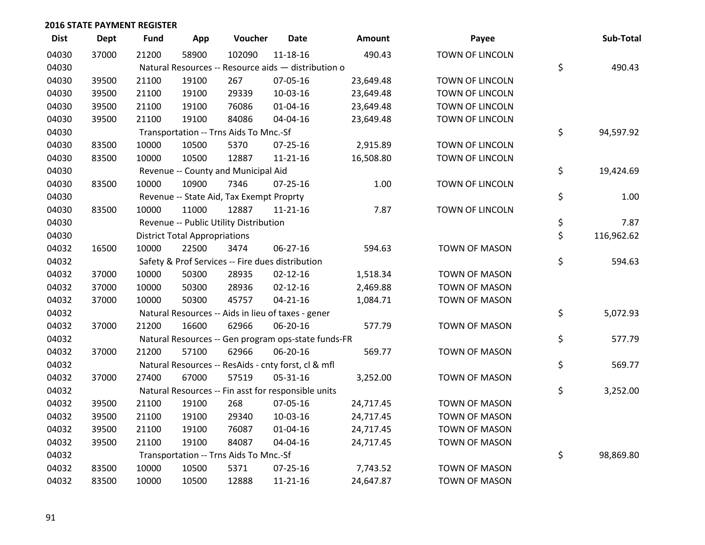| <b>Dist</b> | <b>Dept</b> | <b>Fund</b> | App                                  | Voucher                                             | <b>Date</b>    | Amount    | Payee                | Sub-Total        |
|-------------|-------------|-------------|--------------------------------------|-----------------------------------------------------|----------------|-----------|----------------------|------------------|
| 04030       | 37000       | 21200       | 58900                                | 102090                                              | $11 - 18 - 16$ | 490.43    | TOWN OF LINCOLN      |                  |
| 04030       |             |             |                                      | Natural Resources -- Resource aids - distribution o |                |           |                      | \$<br>490.43     |
| 04030       | 39500       | 21100       | 19100                                | 267                                                 | 07-05-16       | 23,649.48 | TOWN OF LINCOLN      |                  |
| 04030       | 39500       | 21100       | 19100                                | 29339                                               | 10-03-16       | 23,649.48 | TOWN OF LINCOLN      |                  |
| 04030       | 39500       | 21100       | 19100                                | 76086                                               | 01-04-16       | 23,649.48 | TOWN OF LINCOLN      |                  |
| 04030       | 39500       | 21100       | 19100                                | 84086                                               | 04-04-16       | 23,649.48 | TOWN OF LINCOLN      |                  |
| 04030       |             |             |                                      | Transportation -- Trns Aids To Mnc.-Sf              |                |           |                      | \$<br>94,597.92  |
| 04030       | 83500       | 10000       | 10500                                | 5370                                                | $07 - 25 - 16$ | 2,915.89  | TOWN OF LINCOLN      |                  |
| 04030       | 83500       | 10000       | 10500                                | 12887                                               | $11 - 21 - 16$ | 16,508.80 | TOWN OF LINCOLN      |                  |
| 04030       |             |             |                                      | Revenue -- County and Municipal Aid                 |                |           |                      | \$<br>19,424.69  |
| 04030       | 83500       | 10000       | 10900                                | 7346                                                | $07 - 25 - 16$ | 1.00      | TOWN OF LINCOLN      |                  |
| 04030       |             |             |                                      | Revenue -- State Aid, Tax Exempt Proprty            |                |           |                      | \$<br>1.00       |
| 04030       | 83500       | 10000       | 11000                                | 12887                                               | $11 - 21 - 16$ | 7.87      | TOWN OF LINCOLN      |                  |
| 04030       |             |             |                                      | Revenue -- Public Utility Distribution              |                |           |                      | \$<br>7.87       |
| 04030       |             |             | <b>District Total Appropriations</b> |                                                     |                |           |                      | \$<br>116,962.62 |
| 04032       | 16500       | 10000       | 22500                                | 3474                                                | 06-27-16       | 594.63    | <b>TOWN OF MASON</b> |                  |
| 04032       |             |             |                                      | Safety & Prof Services -- Fire dues distribution    |                |           |                      | \$<br>594.63     |
| 04032       | 37000       | 10000       | 50300                                | 28935                                               | $02 - 12 - 16$ | 1,518.34  | <b>TOWN OF MASON</b> |                  |
| 04032       | 37000       | 10000       | 50300                                | 28936                                               | $02 - 12 - 16$ | 2,469.88  | TOWN OF MASON        |                  |
| 04032       | 37000       | 10000       | 50300                                | 45757                                               | $04 - 21 - 16$ | 1,084.71  | TOWN OF MASON        |                  |
| 04032       |             |             |                                      | Natural Resources -- Aids in lieu of taxes - gener  |                |           |                      | \$<br>5,072.93   |
| 04032       | 37000       | 21200       | 16600                                | 62966                                               | 06-20-16       | 577.79    | TOWN OF MASON        |                  |
| 04032       |             |             |                                      | Natural Resources -- Gen program ops-state funds-FR |                |           |                      | \$<br>577.79     |
| 04032       | 37000       | 21200       | 57100                                | 62966                                               | 06-20-16       | 569.77    | <b>TOWN OF MASON</b> |                  |
| 04032       |             |             |                                      | Natural Resources -- ResAids - cnty forst, cl & mfl |                |           |                      | \$<br>569.77     |
| 04032       | 37000       | 27400       | 67000                                | 57519                                               | 05-31-16       | 3,252.00  | TOWN OF MASON        |                  |
| 04032       |             |             |                                      | Natural Resources -- Fin asst for responsible units |                |           |                      | \$<br>3,252.00   |
| 04032       | 39500       | 21100       | 19100                                | 268                                                 | 07-05-16       | 24,717.45 | TOWN OF MASON        |                  |
| 04032       | 39500       | 21100       | 19100                                | 29340                                               | 10-03-16       | 24,717.45 | <b>TOWN OF MASON</b> |                  |
| 04032       | 39500       | 21100       | 19100                                | 76087                                               | $01 - 04 - 16$ | 24,717.45 | TOWN OF MASON        |                  |
| 04032       | 39500       | 21100       | 19100                                | 84087                                               | 04-04-16       | 24,717.45 | TOWN OF MASON        |                  |
| 04032       |             |             |                                      | Transportation -- Trns Aids To Mnc.-Sf              |                |           |                      | \$<br>98,869.80  |
| 04032       | 83500       | 10000       | 10500                                | 5371                                                | 07-25-16       | 7,743.52  | <b>TOWN OF MASON</b> |                  |
| 04032       | 83500       | 10000       | 10500                                | 12888                                               | 11-21-16       | 24,647.87 | <b>TOWN OF MASON</b> |                  |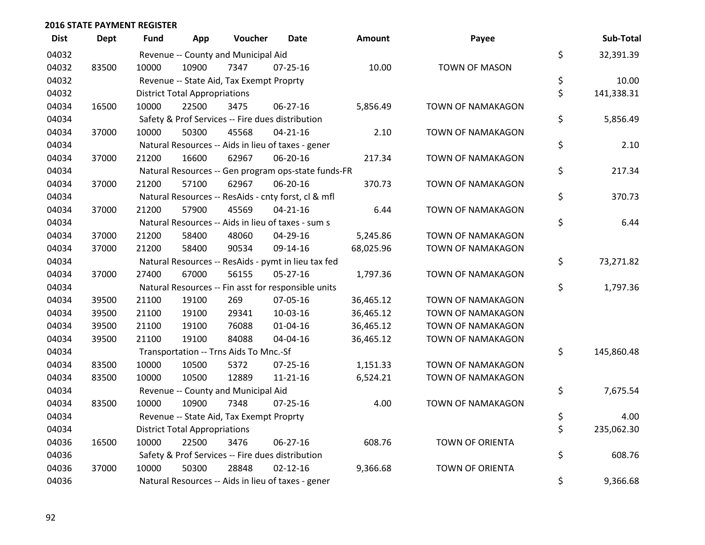| <b>Dist</b> | <b>Dept</b> | <b>Fund</b> | App                                  | Voucher                                  | <b>Date</b>                                         | Amount    | Payee                    | Sub-Total        |
|-------------|-------------|-------------|--------------------------------------|------------------------------------------|-----------------------------------------------------|-----------|--------------------------|------------------|
| 04032       |             |             |                                      | Revenue -- County and Municipal Aid      |                                                     |           |                          | \$<br>32,391.39  |
| 04032       | 83500       | 10000       | 10900                                | 7347                                     | $07 - 25 - 16$                                      | 10.00     | <b>TOWN OF MASON</b>     |                  |
| 04032       |             |             |                                      | Revenue -- State Aid, Tax Exempt Proprty |                                                     |           |                          | \$<br>10.00      |
| 04032       |             |             | <b>District Total Appropriations</b> |                                          |                                                     |           |                          | \$<br>141,338.31 |
| 04034       | 16500       | 10000       | 22500                                | 3475                                     | 06-27-16                                            | 5,856.49  | <b>TOWN OF NAMAKAGON</b> |                  |
| 04034       |             |             |                                      |                                          | Safety & Prof Services -- Fire dues distribution    |           |                          | \$<br>5,856.49   |
| 04034       | 37000       | 10000       | 50300                                | 45568                                    | $04 - 21 - 16$                                      | 2.10      | TOWN OF NAMAKAGON        |                  |
| 04034       |             |             |                                      |                                          | Natural Resources -- Aids in lieu of taxes - gener  |           |                          | \$<br>2.10       |
| 04034       | 37000       | 21200       | 16600                                | 62967                                    | 06-20-16                                            | 217.34    | <b>TOWN OF NAMAKAGON</b> |                  |
| 04034       |             |             |                                      |                                          | Natural Resources -- Gen program ops-state funds-FR |           |                          | \$<br>217.34     |
| 04034       | 37000       | 21200       | 57100                                | 62967                                    | 06-20-16                                            | 370.73    | <b>TOWN OF NAMAKAGON</b> |                  |
| 04034       |             |             |                                      |                                          | Natural Resources -- ResAids - cnty forst, cl & mfl |           |                          | \$<br>370.73     |
| 04034       | 37000       | 21200       | 57900                                | 45569                                    | $04 - 21 - 16$                                      | 6.44      | <b>TOWN OF NAMAKAGON</b> |                  |
| 04034       |             |             |                                      |                                          | Natural Resources -- Aids in lieu of taxes - sum s  |           |                          | \$<br>6.44       |
| 04034       | 37000       | 21200       | 58400                                | 48060                                    | 04-29-16                                            | 5,245.86  | <b>TOWN OF NAMAKAGON</b> |                  |
| 04034       | 37000       | 21200       | 58400                                | 90534                                    | 09-14-16                                            | 68,025.96 | TOWN OF NAMAKAGON        |                  |
| 04034       |             |             |                                      |                                          | Natural Resources -- ResAids - pymt in lieu tax fed |           |                          | \$<br>73,271.82  |
| 04034       | 37000       | 27400       | 67000                                | 56155                                    | $05 - 27 - 16$                                      | 1,797.36  | <b>TOWN OF NAMAKAGON</b> |                  |
| 04034       |             |             |                                      |                                          | Natural Resources -- Fin asst for responsible units |           |                          | \$<br>1,797.36   |
| 04034       | 39500       | 21100       | 19100                                | 269                                      | 07-05-16                                            | 36,465.12 | TOWN OF NAMAKAGON        |                  |
| 04034       | 39500       | 21100       | 19100                                | 29341                                    | 10-03-16                                            | 36,465.12 | <b>TOWN OF NAMAKAGON</b> |                  |
| 04034       | 39500       | 21100       | 19100                                | 76088                                    | $01 - 04 - 16$                                      | 36,465.12 | <b>TOWN OF NAMAKAGON</b> |                  |
| 04034       | 39500       | 21100       | 19100                                | 84088                                    | 04-04-16                                            | 36,465.12 | TOWN OF NAMAKAGON        |                  |
| 04034       |             |             |                                      | Transportation -- Trns Aids To Mnc.-Sf   |                                                     |           |                          | \$<br>145,860.48 |
| 04034       | 83500       | 10000       | 10500                                | 5372                                     | $07 - 25 - 16$                                      | 1,151.33  | <b>TOWN OF NAMAKAGON</b> |                  |
| 04034       | 83500       | 10000       | 10500                                | 12889                                    | $11 - 21 - 16$                                      | 6,524.21  | TOWN OF NAMAKAGON        |                  |
| 04034       |             |             |                                      | Revenue -- County and Municipal Aid      |                                                     |           |                          | \$<br>7,675.54   |
| 04034       | 83500       | 10000       | 10900                                | 7348                                     | $07 - 25 - 16$                                      | 4.00      | <b>TOWN OF NAMAKAGON</b> |                  |
| 04034       |             |             |                                      | Revenue -- State Aid, Tax Exempt Proprty |                                                     |           |                          | \$<br>4.00       |
| 04034       |             |             | <b>District Total Appropriations</b> |                                          |                                                     |           |                          | \$<br>235,062.30 |
| 04036       | 16500       | 10000       | 22500                                | 3476                                     | 06-27-16                                            | 608.76    | <b>TOWN OF ORIENTA</b>   |                  |
| 04036       |             |             |                                      |                                          | Safety & Prof Services -- Fire dues distribution    |           |                          | \$<br>608.76     |
| 04036       | 37000       | 10000       | 50300                                | 28848                                    | $02 - 12 - 16$                                      | 9,366.68  | <b>TOWN OF ORIENTA</b>   |                  |
| 04036       |             |             |                                      |                                          | Natural Resources -- Aids in lieu of taxes - gener  |           |                          | \$<br>9,366.68   |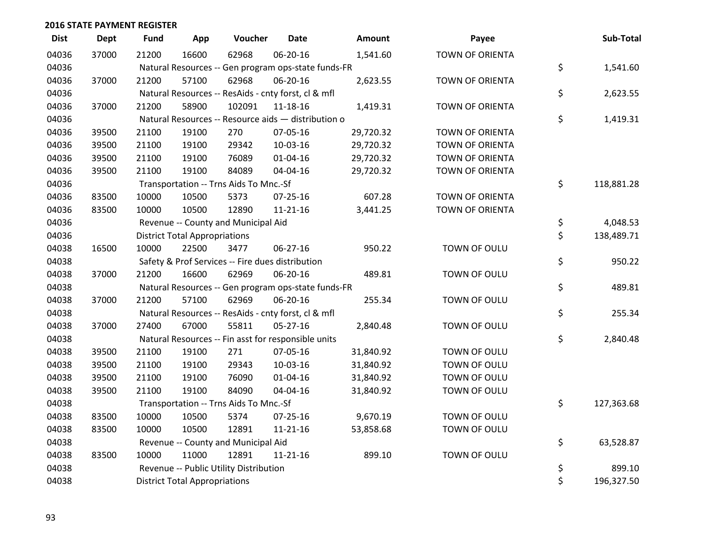| <b>Dist</b> | <b>Dept</b> | <b>Fund</b> | App                                  | Voucher                                             | <b>Date</b>    | Amount    | Payee                  | Sub-Total        |
|-------------|-------------|-------------|--------------------------------------|-----------------------------------------------------|----------------|-----------|------------------------|------------------|
| 04036       | 37000       | 21200       | 16600                                | 62968                                               | 06-20-16       | 1,541.60  | <b>TOWN OF ORIENTA</b> |                  |
| 04036       |             |             |                                      | Natural Resources -- Gen program ops-state funds-FR |                |           |                        | \$<br>1,541.60   |
| 04036       | 37000       | 21200       | 57100                                | 62968                                               | 06-20-16       | 2,623.55  | <b>TOWN OF ORIENTA</b> |                  |
| 04036       |             |             |                                      | Natural Resources -- ResAids - cnty forst, cl & mfl |                |           |                        | \$<br>2,623.55   |
| 04036       | 37000       | 21200       | 58900                                | 102091                                              | 11-18-16       | 1,419.31  | TOWN OF ORIENTA        |                  |
| 04036       |             |             |                                      | Natural Resources -- Resource aids - distribution o |                |           |                        | \$<br>1,419.31   |
| 04036       | 39500       | 21100       | 19100                                | 270                                                 | 07-05-16       | 29,720.32 | TOWN OF ORIENTA        |                  |
| 04036       | 39500       | 21100       | 19100                                | 29342                                               | 10-03-16       | 29,720.32 | <b>TOWN OF ORIENTA</b> |                  |
| 04036       | 39500       | 21100       | 19100                                | 76089                                               | $01 - 04 - 16$ | 29,720.32 | <b>TOWN OF ORIENTA</b> |                  |
| 04036       | 39500       | 21100       | 19100                                | 84089                                               | 04-04-16       | 29,720.32 | TOWN OF ORIENTA        |                  |
| 04036       |             |             |                                      | Transportation -- Trns Aids To Mnc.-Sf              |                |           |                        | \$<br>118,881.28 |
| 04036       | 83500       | 10000       | 10500                                | 5373                                                | 07-25-16       | 607.28    | <b>TOWN OF ORIENTA</b> |                  |
| 04036       | 83500       | 10000       | 10500                                | 12890                                               | $11 - 21 - 16$ | 3,441.25  | <b>TOWN OF ORIENTA</b> |                  |
| 04036       |             |             |                                      | Revenue -- County and Municipal Aid                 |                |           |                        | \$<br>4,048.53   |
| 04036       |             |             | <b>District Total Appropriations</b> |                                                     |                |           |                        | \$<br>138,489.71 |
| 04038       | 16500       | 10000       | 22500                                | 3477                                                | 06-27-16       | 950.22    | TOWN OF OULU           |                  |
| 04038       |             |             |                                      | Safety & Prof Services -- Fire dues distribution    |                |           |                        | \$<br>950.22     |
| 04038       | 37000       | 21200       | 16600                                | 62969                                               | 06-20-16       | 489.81    | TOWN OF OULU           |                  |
| 04038       |             |             |                                      | Natural Resources -- Gen program ops-state funds-FR |                |           |                        | \$<br>489.81     |
| 04038       | 37000       | 21200       | 57100                                | 62969                                               | 06-20-16       | 255.34    | TOWN OF OULU           |                  |
| 04038       |             |             |                                      | Natural Resources -- ResAids - cnty forst, cl & mfl |                |           |                        | \$<br>255.34     |
| 04038       | 37000       | 27400       | 67000                                | 55811                                               | $05 - 27 - 16$ | 2,840.48  | TOWN OF OULU           |                  |
| 04038       |             |             |                                      | Natural Resources -- Fin asst for responsible units |                |           |                        | \$<br>2,840.48   |
| 04038       | 39500       | 21100       | 19100                                | 271                                                 | 07-05-16       | 31,840.92 | TOWN OF OULU           |                  |
| 04038       | 39500       | 21100       | 19100                                | 29343                                               | 10-03-16       | 31,840.92 | TOWN OF OULU           |                  |
| 04038       | 39500       | 21100       | 19100                                | 76090                                               | $01 - 04 - 16$ | 31,840.92 | TOWN OF OULU           |                  |
| 04038       | 39500       | 21100       | 19100                                | 84090                                               | 04-04-16       | 31,840.92 | TOWN OF OULU           |                  |
| 04038       |             |             |                                      | Transportation -- Trns Aids To Mnc.-Sf              |                |           |                        | \$<br>127,363.68 |
| 04038       | 83500       | 10000       | 10500                                | 5374                                                | $07 - 25 - 16$ | 9,670.19  | TOWN OF OULU           |                  |
| 04038       | 83500       | 10000       | 10500                                | 12891                                               | 11-21-16       | 53,858.68 | TOWN OF OULU           |                  |
| 04038       |             |             |                                      | Revenue -- County and Municipal Aid                 |                |           |                        | \$<br>63,528.87  |
| 04038       | 83500       | 10000       | 11000                                | 12891                                               | 11-21-16       | 899.10    | TOWN OF OULU           |                  |
| 04038       |             |             |                                      | Revenue -- Public Utility Distribution              |                |           |                        | \$<br>899.10     |
| 04038       |             |             | <b>District Total Appropriations</b> |                                                     |                |           |                        | \$<br>196,327.50 |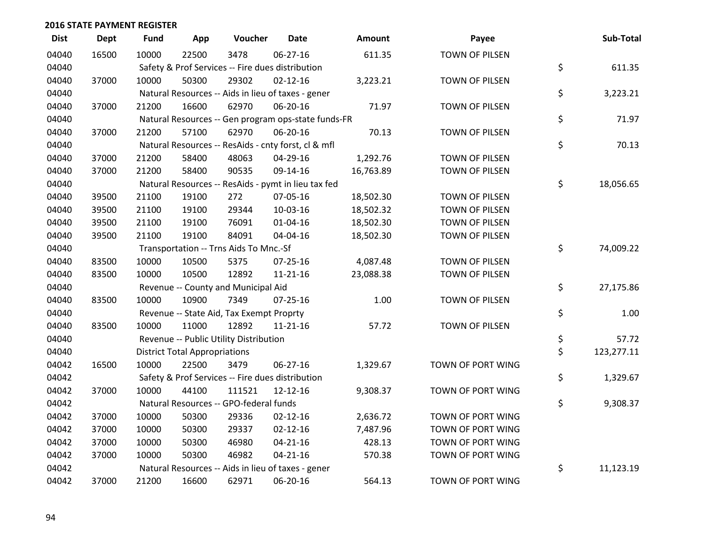| <b>Dist</b> | <b>Dept</b> | <b>Fund</b> | App                                  | Voucher                                             | <b>Date</b>    | Amount    | Payee                 | Sub-Total        |
|-------------|-------------|-------------|--------------------------------------|-----------------------------------------------------|----------------|-----------|-----------------------|------------------|
| 04040       | 16500       | 10000       | 22500                                | 3478                                                | 06-27-16       | 611.35    | TOWN OF PILSEN        |                  |
| 04040       |             |             |                                      | Safety & Prof Services -- Fire dues distribution    |                |           |                       | \$<br>611.35     |
| 04040       | 37000       | 10000       | 50300                                | 29302                                               | $02 - 12 - 16$ | 3,223.21  | TOWN OF PILSEN        |                  |
| 04040       |             |             |                                      | Natural Resources -- Aids in lieu of taxes - gener  |                |           |                       | \$<br>3,223.21   |
| 04040       | 37000       | 21200       | 16600                                | 62970                                               | 06-20-16       | 71.97     | TOWN OF PILSEN        |                  |
| 04040       |             |             |                                      | Natural Resources -- Gen program ops-state funds-FR |                |           |                       | \$<br>71.97      |
| 04040       | 37000       | 21200       | 57100                                | 62970                                               | 06-20-16       | 70.13     | TOWN OF PILSEN        |                  |
| 04040       |             |             |                                      | Natural Resources -- ResAids - cnty forst, cl & mfl |                |           |                       | \$<br>70.13      |
| 04040       | 37000       | 21200       | 58400                                | 48063                                               | 04-29-16       | 1,292.76  | TOWN OF PILSEN        |                  |
| 04040       | 37000       | 21200       | 58400                                | 90535                                               | 09-14-16       | 16,763.89 | TOWN OF PILSEN        |                  |
| 04040       |             |             |                                      | Natural Resources -- ResAids - pymt in lieu tax fed |                |           |                       | \$<br>18,056.65  |
| 04040       | 39500       | 21100       | 19100                                | 272                                                 | 07-05-16       | 18,502.30 | <b>TOWN OF PILSEN</b> |                  |
| 04040       | 39500       | 21100       | 19100                                | 29344                                               | 10-03-16       | 18,502.32 | TOWN OF PILSEN        |                  |
| 04040       | 39500       | 21100       | 19100                                | 76091                                               | $01 - 04 - 16$ | 18,502.30 | TOWN OF PILSEN        |                  |
| 04040       | 39500       | 21100       | 19100                                | 84091                                               | 04-04-16       | 18,502.30 | TOWN OF PILSEN        |                  |
| 04040       |             |             |                                      | Transportation -- Trns Aids To Mnc.-Sf              |                |           |                       | \$<br>74,009.22  |
| 04040       | 83500       | 10000       | 10500                                | 5375                                                | $07 - 25 - 16$ | 4,087.48  | <b>TOWN OF PILSEN</b> |                  |
| 04040       | 83500       | 10000       | 10500                                | 12892                                               | $11 - 21 - 16$ | 23,088.38 | TOWN OF PILSEN        |                  |
| 04040       |             |             |                                      | Revenue -- County and Municipal Aid                 |                |           |                       | \$<br>27,175.86  |
| 04040       | 83500       | 10000       | 10900                                | 7349                                                | $07 - 25 - 16$ | 1.00      | TOWN OF PILSEN        |                  |
| 04040       |             |             |                                      | Revenue -- State Aid, Tax Exempt Proprty            |                |           |                       | \$<br>1.00       |
| 04040       | 83500       | 10000       | 11000                                | 12892                                               | $11 - 21 - 16$ | 57.72     | TOWN OF PILSEN        |                  |
| 04040       |             |             |                                      | Revenue -- Public Utility Distribution              |                |           |                       | \$<br>57.72      |
| 04040       |             |             | <b>District Total Appropriations</b> |                                                     |                |           |                       | \$<br>123,277.11 |
| 04042       | 16500       | 10000       | 22500                                | 3479                                                | 06-27-16       | 1,329.67  | TOWN OF PORT WING     |                  |
| 04042       |             |             |                                      | Safety & Prof Services -- Fire dues distribution    |                |           |                       | \$<br>1,329.67   |
| 04042       | 37000       | 10000       | 44100                                | 111521                                              | 12-12-16       | 9,308.37  | TOWN OF PORT WING     |                  |
| 04042       |             |             |                                      | Natural Resources -- GPO-federal funds              |                |           |                       | \$<br>9,308.37   |
| 04042       | 37000       | 10000       | 50300                                | 29336                                               | $02 - 12 - 16$ | 2,636.72  | TOWN OF PORT WING     |                  |
| 04042       | 37000       | 10000       | 50300                                | 29337                                               | $02 - 12 - 16$ | 7,487.96  | TOWN OF PORT WING     |                  |
| 04042       | 37000       | 10000       | 50300                                | 46980                                               | $04 - 21 - 16$ | 428.13    | TOWN OF PORT WING     |                  |
| 04042       | 37000       | 10000       | 50300                                | 46982                                               | $04 - 21 - 16$ | 570.38    | TOWN OF PORT WING     |                  |
| 04042       |             |             |                                      | Natural Resources -- Aids in lieu of taxes - gener  |                |           |                       | \$<br>11,123.19  |
| 04042       | 37000       | 21200       | 16600                                | 62971                                               | 06-20-16       | 564.13    | TOWN OF PORT WING     |                  |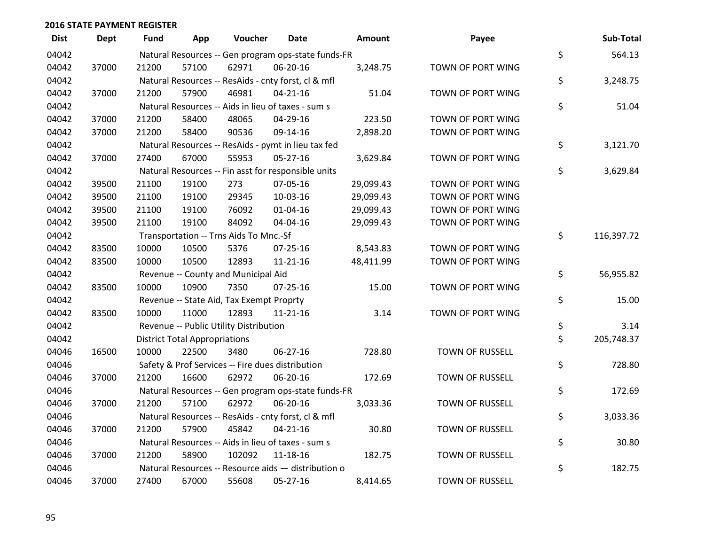| <b>Dist</b> | Dept  | Fund  | App                                  | Voucher                                             | Date           | <b>Amount</b> | Payee                  | Sub-Total        |
|-------------|-------|-------|--------------------------------------|-----------------------------------------------------|----------------|---------------|------------------------|------------------|
| 04042       |       |       |                                      | Natural Resources -- Gen program ops-state funds-FR |                |               |                        | \$<br>564.13     |
| 04042       | 37000 | 21200 | 57100                                | 62971                                               | 06-20-16       | 3,248.75      | TOWN OF PORT WING      |                  |
| 04042       |       |       |                                      | Natural Resources -- ResAids - cnty forst, cl & mfl |                |               |                        | \$<br>3,248.75   |
| 04042       | 37000 | 21200 | 57900                                | 46981                                               | $04 - 21 - 16$ | 51.04         | TOWN OF PORT WING      |                  |
| 04042       |       |       |                                      | Natural Resources -- Aids in lieu of taxes - sum s  |                |               |                        | \$<br>51.04      |
| 04042       | 37000 | 21200 | 58400                                | 48065                                               | 04-29-16       | 223.50        | TOWN OF PORT WING      |                  |
| 04042       | 37000 | 21200 | 58400                                | 90536                                               | 09-14-16       | 2,898.20      | TOWN OF PORT WING      |                  |
| 04042       |       |       |                                      | Natural Resources -- ResAids - pymt in lieu tax fed |                |               |                        | \$<br>3,121.70   |
| 04042       | 37000 | 27400 | 67000                                | 55953                                               | 05-27-16       | 3,629.84      | TOWN OF PORT WING      |                  |
| 04042       |       |       |                                      | Natural Resources -- Fin asst for responsible units |                |               |                        | \$<br>3,629.84   |
| 04042       | 39500 | 21100 | 19100                                | 273                                                 | 07-05-16       | 29,099.43     | TOWN OF PORT WING      |                  |
| 04042       | 39500 | 21100 | 19100                                | 29345                                               | 10-03-16       | 29,099.43     | TOWN OF PORT WING      |                  |
| 04042       | 39500 | 21100 | 19100                                | 76092                                               | $01 - 04 - 16$ | 29,099.43     | TOWN OF PORT WING      |                  |
| 04042       | 39500 | 21100 | 19100                                | 84092                                               | 04-04-16       | 29,099.43     | TOWN OF PORT WING      |                  |
| 04042       |       |       |                                      | Transportation -- Trns Aids To Mnc.-Sf              |                |               |                        | \$<br>116,397.72 |
| 04042       | 83500 | 10000 | 10500                                | 5376                                                | 07-25-16       | 8,543.83      | TOWN OF PORT WING      |                  |
| 04042       | 83500 | 10000 | 10500                                | 12893                                               | 11-21-16       | 48,411.99     | TOWN OF PORT WING      |                  |
| 04042       |       |       |                                      | Revenue -- County and Municipal Aid                 |                |               |                        | \$<br>56,955.82  |
| 04042       | 83500 | 10000 | 10900                                | 7350                                                | $07 - 25 - 16$ | 15.00         | TOWN OF PORT WING      |                  |
| 04042       |       |       |                                      | Revenue -- State Aid, Tax Exempt Proprty            |                |               |                        | \$<br>15.00      |
| 04042       | 83500 | 10000 | 11000                                | 12893                                               | $11 - 21 - 16$ | 3.14          | TOWN OF PORT WING      |                  |
| 04042       |       |       |                                      | Revenue -- Public Utility Distribution              |                |               |                        | \$<br>3.14       |
| 04042       |       |       | <b>District Total Appropriations</b> |                                                     |                |               |                        | \$<br>205,748.37 |
| 04046       | 16500 | 10000 | 22500                                | 3480                                                | 06-27-16       | 728.80        | <b>TOWN OF RUSSELL</b> |                  |
| 04046       |       |       |                                      | Safety & Prof Services -- Fire dues distribution    |                |               |                        | \$<br>728.80     |
| 04046       | 37000 | 21200 | 16600                                | 62972                                               | 06-20-16       | 172.69        | TOWN OF RUSSELL        |                  |
| 04046       |       |       |                                      | Natural Resources -- Gen program ops-state funds-FR |                |               |                        | \$<br>172.69     |
| 04046       | 37000 | 21200 | 57100                                | 62972                                               | 06-20-16       | 3,033.36      | TOWN OF RUSSELL        |                  |
| 04046       |       |       |                                      | Natural Resources -- ResAids - cnty forst, cl & mfl |                |               |                        | \$<br>3,033.36   |
| 04046       | 37000 | 21200 | 57900                                | 45842                                               | $04 - 21 - 16$ | 30.80         | TOWN OF RUSSELL        |                  |
| 04046       |       |       |                                      | Natural Resources -- Aids in lieu of taxes - sum s  |                |               |                        | \$<br>30.80      |
| 04046       | 37000 | 21200 | 58900                                | 102092                                              | 11-18-16       | 182.75        | <b>TOWN OF RUSSELL</b> |                  |
| 04046       |       |       |                                      | Natural Resources -- Resource aids - distribution o |                |               |                        | \$<br>182.75     |
| 04046       | 37000 | 27400 | 67000                                | 55608                                               | 05-27-16       | 8,414.65      | <b>TOWN OF RUSSELL</b> |                  |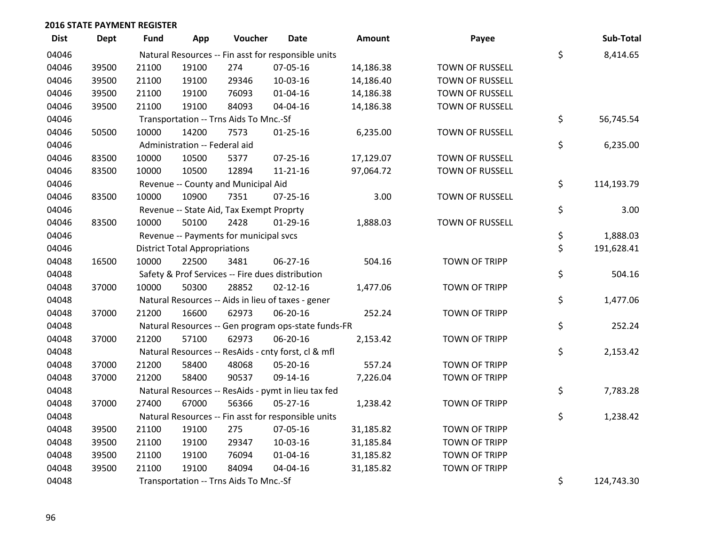| <b>Dist</b> | <b>Dept</b> | Fund                                                | App                                  | Voucher                                  | <b>Date</b>                                         | Amount    | Payee                  |    | Sub-Total  |
|-------------|-------------|-----------------------------------------------------|--------------------------------------|------------------------------------------|-----------------------------------------------------|-----------|------------------------|----|------------|
| 04046       |             | Natural Resources -- Fin asst for responsible units |                                      |                                          |                                                     |           |                        |    | 8,414.65   |
| 04046       | 39500       | 21100                                               | 19100                                | 274                                      | 07-05-16                                            | 14,186.38 | <b>TOWN OF RUSSELL</b> | \$ |            |
| 04046       | 39500       | 21100                                               | 19100                                | 29346                                    | 10-03-16                                            | 14,186.40 | <b>TOWN OF RUSSELL</b> |    |            |
| 04046       | 39500       | 21100                                               | 19100                                | 76093                                    | $01 - 04 - 16$                                      | 14,186.38 | <b>TOWN OF RUSSELL</b> |    |            |
| 04046       | 39500       | 21100                                               | 19100                                | 84093                                    | 04-04-16                                            | 14,186.38 | TOWN OF RUSSELL        |    |            |
| 04046       |             |                                                     |                                      | Transportation -- Trns Aids To Mnc.-Sf   |                                                     |           |                        | \$ | 56,745.54  |
| 04046       | 50500       | 10000                                               | 14200                                | 7573                                     | $01 - 25 - 16$                                      | 6,235.00  | TOWN OF RUSSELL        |    |            |
| 04046       |             |                                                     | Administration -- Federal aid        |                                          |                                                     |           |                        | \$ | 6,235.00   |
| 04046       | 83500       | 10000                                               | 10500                                | 5377                                     | 07-25-16                                            | 17,129.07 | TOWN OF RUSSELL        |    |            |
| 04046       | 83500       | 10000                                               | 10500                                | 12894                                    | 11-21-16                                            | 97,064.72 | TOWN OF RUSSELL        |    |            |
| 04046       |             |                                                     |                                      | Revenue -- County and Municipal Aid      |                                                     |           |                        | \$ | 114,193.79 |
| 04046       | 83500       | 10000                                               | 10900                                | 7351                                     | $07 - 25 - 16$                                      | 3.00      | TOWN OF RUSSELL        |    |            |
| 04046       |             |                                                     |                                      | Revenue -- State Aid, Tax Exempt Proprty |                                                     |           |                        | \$ | 3.00       |
| 04046       | 83500       | 10000                                               | 50100                                | 2428                                     | $01-29-16$                                          | 1,888.03  | <b>TOWN OF RUSSELL</b> |    |            |
| 04046       |             |                                                     |                                      | Revenue -- Payments for municipal svcs   |                                                     |           |                        | \$ | 1,888.03   |
| 04046       |             |                                                     | <b>District Total Appropriations</b> |                                          |                                                     |           |                        | \$ | 191,628.41 |
| 04048       | 16500       | 10000                                               | 22500                                | 3481                                     | 06-27-16                                            | 504.16    | <b>TOWN OF TRIPP</b>   |    |            |
| 04048       |             |                                                     |                                      |                                          | Safety & Prof Services -- Fire dues distribution    |           |                        | \$ | 504.16     |
| 04048       | 37000       | 10000                                               | 50300                                | 28852                                    | $02 - 12 - 16$                                      | 1,477.06  | <b>TOWN OF TRIPP</b>   |    |            |
| 04048       |             |                                                     |                                      |                                          | Natural Resources -- Aids in lieu of taxes - gener  |           |                        | \$ | 1,477.06   |
| 04048       | 37000       | 21200                                               | 16600                                | 62973                                    | 06-20-16                                            | 252.24    | <b>TOWN OF TRIPP</b>   |    |            |
| 04048       |             |                                                     |                                      |                                          | Natural Resources -- Gen program ops-state funds-FR |           |                        | \$ | 252.24     |
| 04048       | 37000       | 21200                                               | 57100                                | 62973                                    | 06-20-16                                            | 2,153.42  | TOWN OF TRIPP          |    |            |
| 04048       |             |                                                     |                                      |                                          | Natural Resources -- ResAids - cnty forst, cl & mfl |           |                        | \$ | 2,153.42   |
| 04048       | 37000       | 21200                                               | 58400                                | 48068                                    | 05-20-16                                            | 557.24    | <b>TOWN OF TRIPP</b>   |    |            |
| 04048       | 37000       | 21200                                               | 58400                                | 90537                                    | 09-14-16                                            | 7,226.04  | <b>TOWN OF TRIPP</b>   |    |            |
| 04048       |             |                                                     |                                      |                                          | Natural Resources -- ResAids - pymt in lieu tax fed |           |                        | \$ | 7,783.28   |
| 04048       | 37000       | 27400                                               | 67000                                | 56366                                    | 05-27-16                                            | 1,238.42  | <b>TOWN OF TRIPP</b>   |    |            |
| 04048       |             |                                                     |                                      |                                          | Natural Resources -- Fin asst for responsible units |           |                        | \$ | 1,238.42   |
| 04048       | 39500       | 21100                                               | 19100                                | 275                                      | 07-05-16                                            | 31,185.82 | <b>TOWN OF TRIPP</b>   |    |            |
| 04048       | 39500       | 21100                                               | 19100                                | 29347                                    | 10-03-16                                            | 31,185.84 | <b>TOWN OF TRIPP</b>   |    |            |
| 04048       | 39500       | 21100                                               | 19100                                | 76094                                    | 01-04-16                                            | 31,185.82 | <b>TOWN OF TRIPP</b>   |    |            |
| 04048       | 39500       | 21100                                               | 19100                                | 84094                                    | 04-04-16                                            | 31,185.82 | <b>TOWN OF TRIPP</b>   |    |            |
| 04048       |             |                                                     |                                      | Transportation -- Trns Aids To Mnc.-Sf   |                                                     |           |                        | \$ | 124,743.30 |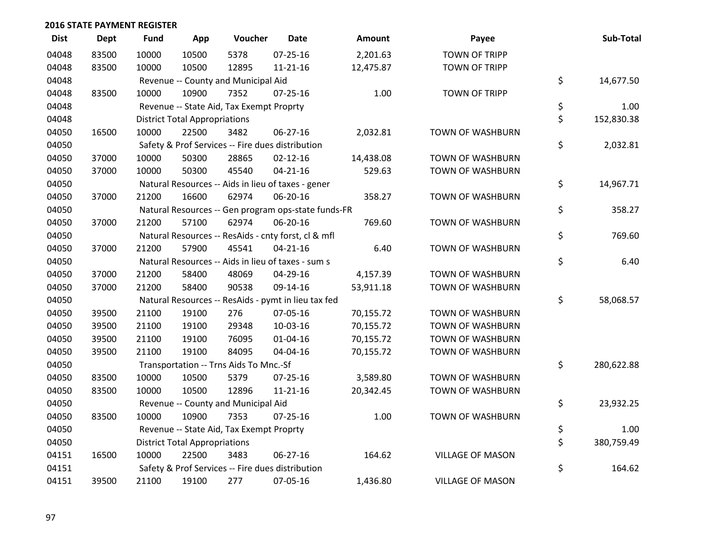| <b>Dist</b> | <b>Dept</b> | <b>Fund</b>                          | App                                  | Voucher                                  | <b>Date</b>                                         | Amount    | Payee                   |    | Sub-Total  |  |  |
|-------------|-------------|--------------------------------------|--------------------------------------|------------------------------------------|-----------------------------------------------------|-----------|-------------------------|----|------------|--|--|
| 04048       | 83500       | 10000                                | 10500                                | 5378                                     | $07 - 25 - 16$                                      | 2,201.63  | <b>TOWN OF TRIPP</b>    |    |            |  |  |
| 04048       | 83500       | 10000                                | 10500                                | 12895                                    | $11 - 21 - 16$                                      | 12,475.87 | <b>TOWN OF TRIPP</b>    |    |            |  |  |
| 04048       |             |                                      | Revenue -- County and Municipal Aid  |                                          |                                                     |           |                         |    |            |  |  |
| 04048       | 83500       | 10000                                | 10900                                | 7352                                     | $07 - 25 - 16$                                      | 1.00      | <b>TOWN OF TRIPP</b>    |    |            |  |  |
| 04048       |             |                                      |                                      | Revenue -- State Aid, Tax Exempt Proprty |                                                     |           |                         | \$ | 1.00       |  |  |
| 04048       |             |                                      | <b>District Total Appropriations</b> |                                          |                                                     |           |                         |    |            |  |  |
| 04050       | 16500       | 10000                                | 22500                                | 3482                                     | 06-27-16                                            | 2,032.81  | TOWN OF WASHBURN        |    |            |  |  |
| 04050       |             |                                      |                                      |                                          | Safety & Prof Services -- Fire dues distribution    |           |                         | \$ | 2,032.81   |  |  |
| 04050       | 37000       | 10000                                | 50300                                | 28865                                    | $02 - 12 - 16$                                      | 14,438.08 | <b>TOWN OF WASHBURN</b> |    |            |  |  |
| 04050       | 37000       | 10000                                | 50300                                | 45540                                    | $04 - 21 - 16$                                      | 529.63    | <b>TOWN OF WASHBURN</b> |    |            |  |  |
| 04050       |             |                                      |                                      |                                          | Natural Resources -- Aids in lieu of taxes - gener  |           |                         | \$ | 14,967.71  |  |  |
| 04050       | 37000       | 21200                                | 16600                                | 62974                                    | 06-20-16                                            | 358.27    | <b>TOWN OF WASHBURN</b> |    |            |  |  |
| 04050       |             |                                      |                                      |                                          | Natural Resources -- Gen program ops-state funds-FR |           |                         | \$ | 358.27     |  |  |
| 04050       | 37000       | 21200                                | 57100                                | 62974                                    | 06-20-16                                            | 769.60    | <b>TOWN OF WASHBURN</b> |    |            |  |  |
| 04050       |             |                                      |                                      |                                          | Natural Resources -- ResAids - cnty forst, cl & mfl |           |                         | \$ | 769.60     |  |  |
| 04050       | 37000       | 21200                                | 57900                                | 45541                                    | $04 - 21 - 16$                                      | 6.40      | <b>TOWN OF WASHBURN</b> |    |            |  |  |
| 04050       |             |                                      |                                      |                                          | Natural Resources -- Aids in lieu of taxes - sum s  |           |                         | \$ | 6.40       |  |  |
| 04050       | 37000       | 21200                                | 58400                                | 48069                                    | 04-29-16                                            | 4,157.39  | TOWN OF WASHBURN        |    |            |  |  |
| 04050       | 37000       | 21200                                | 58400                                | 90538                                    | 09-14-16                                            | 53,911.18 | <b>TOWN OF WASHBURN</b> |    |            |  |  |
| 04050       |             |                                      |                                      |                                          | Natural Resources -- ResAids - pymt in lieu tax fed |           |                         | \$ | 58,068.57  |  |  |
| 04050       | 39500       | 21100                                | 19100                                | 276                                      | 07-05-16                                            | 70,155.72 | <b>TOWN OF WASHBURN</b> |    |            |  |  |
| 04050       | 39500       | 21100                                | 19100                                | 29348                                    | 10-03-16                                            | 70,155.72 | <b>TOWN OF WASHBURN</b> |    |            |  |  |
| 04050       | 39500       | 21100                                | 19100                                | 76095                                    | 01-04-16                                            | 70,155.72 | TOWN OF WASHBURN        |    |            |  |  |
| 04050       | 39500       | 21100                                | 19100                                | 84095                                    | 04-04-16                                            | 70,155.72 | <b>TOWN OF WASHBURN</b> |    |            |  |  |
| 04050       |             |                                      |                                      | Transportation -- Trns Aids To Mnc.-Sf   |                                                     |           |                         | \$ | 280,622.88 |  |  |
| 04050       | 83500       | 10000                                | 10500                                | 5379                                     | 07-25-16                                            | 3,589.80  | TOWN OF WASHBURN        |    |            |  |  |
| 04050       | 83500       | 10000                                | 10500                                | 12896                                    | $11 - 21 - 16$                                      | 20,342.45 | TOWN OF WASHBURN        |    |            |  |  |
| 04050       |             |                                      | Revenue -- County and Municipal Aid  |                                          |                                                     |           |                         |    |            |  |  |
| 04050       | 83500       | 10000                                | 10900                                | 7353                                     | $07 - 25 - 16$                                      | 1.00      | <b>TOWN OF WASHBURN</b> |    |            |  |  |
| 04050       |             |                                      |                                      | Revenue -- State Aid, Tax Exempt Proprty |                                                     |           |                         | \$ | 1.00       |  |  |
| 04050       |             | <b>District Total Appropriations</b> |                                      |                                          |                                                     |           |                         |    | 380,759.49 |  |  |
| 04151       | 16500       | 10000                                | 22500                                | 3483                                     | 06-27-16                                            | 164.62    | <b>VILLAGE OF MASON</b> |    |            |  |  |
| 04151       |             |                                      |                                      |                                          | Safety & Prof Services -- Fire dues distribution    |           |                         | \$ | 164.62     |  |  |
| 04151       | 39500       | 21100                                | 19100                                | 277                                      | 07-05-16                                            | 1,436.80  | <b>VILLAGE OF MASON</b> |    |            |  |  |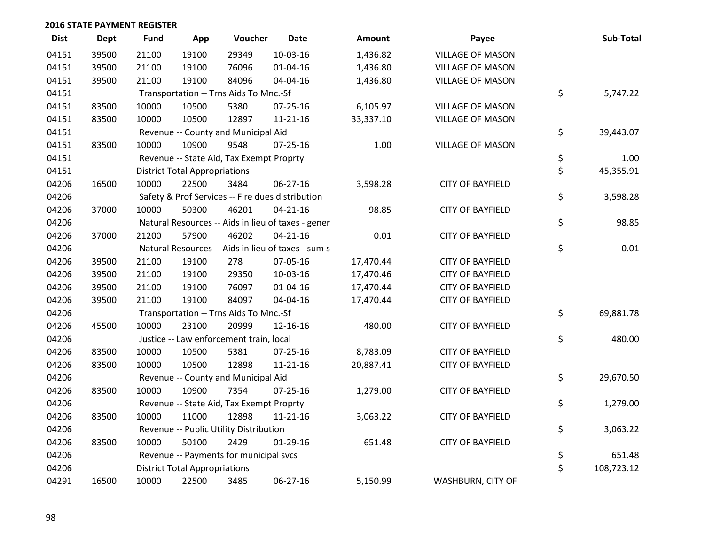| <b>Dist</b> | <b>Dept</b> | <b>Fund</b>                          | App                                      | Voucher                                  | <b>Date</b>                                        | <b>Amount</b> | Payee                    |    | Sub-Total |  |
|-------------|-------------|--------------------------------------|------------------------------------------|------------------------------------------|----------------------------------------------------|---------------|--------------------------|----|-----------|--|
| 04151       | 39500       | 21100                                | 19100                                    | 29349                                    | $10-03-16$                                         | 1,436.82      | <b>VILLAGE OF MASON</b>  |    |           |  |
| 04151       | 39500       | 21100                                | 19100                                    | 76096                                    | 01-04-16                                           | 1,436.80      | <b>VILLAGE OF MASON</b>  |    |           |  |
| 04151       | 39500       | 21100                                | 19100                                    | 84096                                    | 04-04-16                                           | 1,436.80      | <b>VILLAGE OF MASON</b>  |    |           |  |
| 04151       |             |                                      |                                          | Transportation -- Trns Aids To Mnc.-Sf   |                                                    |               |                          | \$ | 5,747.22  |  |
| 04151       | 83500       | 10000                                | 10500                                    | 5380                                     | $07 - 25 - 16$                                     | 6,105.97      | <b>VILLAGE OF MASON</b>  |    |           |  |
| 04151       | 83500       | 10000                                | 10500                                    | 12897                                    | $11 - 21 - 16$                                     | 33,337.10     | <b>VILLAGE OF MASON</b>  |    |           |  |
| 04151       |             |                                      |                                          | Revenue -- County and Municipal Aid      |                                                    |               |                          | \$ | 39,443.07 |  |
| 04151       | 83500       | 10000                                | 10900                                    | 9548                                     | $07 - 25 - 16$                                     | 1.00          | <b>VILLAGE OF MASON</b>  |    |           |  |
| 04151       |             |                                      |                                          | Revenue -- State Aid, Tax Exempt Proprty |                                                    |               |                          | \$ | 1.00      |  |
| 04151       |             |                                      | <b>District Total Appropriations</b>     |                                          |                                                    |               |                          | \$ | 45,355.91 |  |
| 04206       | 16500       | 10000                                | 22500                                    | 3484                                     | 06-27-16                                           | 3,598.28      | <b>CITY OF BAYFIELD</b>  |    |           |  |
| 04206       |             |                                      |                                          |                                          | Safety & Prof Services -- Fire dues distribution   |               |                          | \$ | 3,598.28  |  |
| 04206       | 37000       | 10000                                | 50300                                    | 46201                                    | $04 - 21 - 16$                                     | 98.85         | <b>CITY OF BAYFIELD</b>  |    |           |  |
| 04206       |             |                                      |                                          |                                          | Natural Resources -- Aids in lieu of taxes - gener |               |                          | \$ | 98.85     |  |
| 04206       | 37000       | 21200                                | 57900                                    | 46202                                    | $04 - 21 - 16$                                     | 0.01          | <b>CITY OF BAYFIELD</b>  |    |           |  |
| 04206       |             |                                      |                                          |                                          | Natural Resources -- Aids in lieu of taxes - sum s |               |                          | \$ | 0.01      |  |
| 04206       | 39500       | 21100                                | 19100                                    | 278                                      | 07-05-16                                           | 17,470.44     | <b>CITY OF BAYFIELD</b>  |    |           |  |
| 04206       | 39500       | 21100                                | 19100                                    | 29350                                    | 10-03-16                                           | 17,470.46     | <b>CITY OF BAYFIELD</b>  |    |           |  |
| 04206       | 39500       | 21100                                | 19100                                    | 76097                                    | $01 - 04 - 16$                                     | 17,470.44     | <b>CITY OF BAYFIELD</b>  |    |           |  |
| 04206       | 39500       | 21100                                | 19100                                    | 84097                                    | 04-04-16                                           | 17,470.44     | <b>CITY OF BAYFIELD</b>  |    |           |  |
| 04206       |             |                                      |                                          | Transportation -- Trns Aids To Mnc.-Sf   |                                                    |               |                          | \$ | 69,881.78 |  |
| 04206       | 45500       | 10000                                | 23100                                    | 20999                                    | 12-16-16                                           | 480.00        | <b>CITY OF BAYFIELD</b>  |    |           |  |
| 04206       |             |                                      |                                          | Justice -- Law enforcement train, local  |                                                    |               |                          | \$ | 480.00    |  |
| 04206       | 83500       | 10000                                | 10500                                    | 5381                                     | 07-25-16                                           | 8,783.09      | <b>CITY OF BAYFIELD</b>  |    |           |  |
| 04206       | 83500       | 10000                                | 10500                                    | 12898                                    | $11 - 21 - 16$                                     | 20,887.41     | <b>CITY OF BAYFIELD</b>  |    |           |  |
| 04206       |             |                                      | Revenue -- County and Municipal Aid      |                                          |                                                    |               |                          |    |           |  |
| 04206       | 83500       | 10000                                | 10900                                    | 7354                                     | $07 - 25 - 16$                                     | 1,279.00      | <b>CITY OF BAYFIELD</b>  |    |           |  |
| 04206       |             |                                      | Revenue -- State Aid, Tax Exempt Proprty |                                          |                                                    |               |                          |    |           |  |
| 04206       | 83500       | 10000                                | 11000                                    | 12898                                    | 11-21-16                                           | 3,063.22      | <b>CITY OF BAYFIELD</b>  |    |           |  |
| 04206       |             |                                      |                                          | Revenue -- Public Utility Distribution   |                                                    |               |                          | \$ | 3,063.22  |  |
| 04206       | 83500       | 10000                                | 50100                                    | 2429                                     | $01-29-16$                                         | 651.48        | <b>CITY OF BAYFIELD</b>  |    |           |  |
| 04206       |             |                                      |                                          | Revenue -- Payments for municipal svcs   |                                                    |               |                          | \$ | 651.48    |  |
| 04206       |             | <b>District Total Appropriations</b> | \$                                       | 108,723.12                               |                                                    |               |                          |    |           |  |
| 04291       | 16500       | 10000                                | 22500                                    | 3485                                     | 06-27-16                                           | 5,150.99      | <b>WASHBURN, CITY OF</b> |    |           |  |